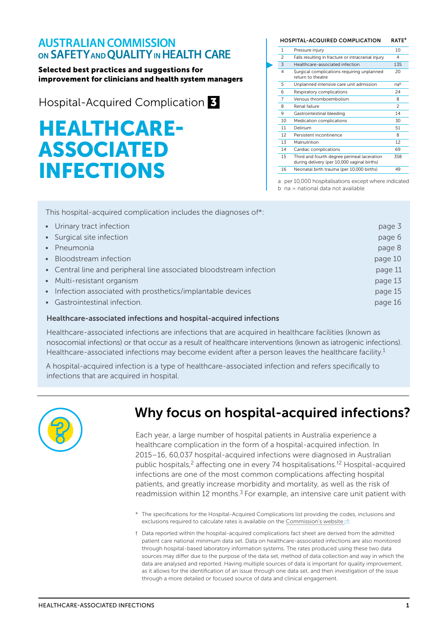### **AUSTRALIAN COMMISSION** ON SAFETY AND QUALITY IN HEALTH CARE

#### Selected best practices and suggestions for improvement for clinicians and health system managers

Hospital-Acquired Complication 3

# HEALTHCARE-ASSOCIATED INFECTIONS

| <b>HOSPITAL-ACQUIRED COMPLICATION</b> |                                                                                            | <b>RATE<sup>a</sup></b> |
|---------------------------------------|--------------------------------------------------------------------------------------------|-------------------------|
| 1                                     | Pressure injury                                                                            | 10                      |
| $\overline{\phantom{0}}$              | Falls resulting in fracture or intracranial injury                                         | 4                       |
| 3                                     | Healthcare-associated infection                                                            | 135                     |
| $\overline{4}$                        | Surgical complications requiring unplanned<br>return to theatre                            | 20                      |
| 5                                     | Unplanned intensive care unit admission                                                    | nab                     |
| 6                                     | Respiratory complications                                                                  | 24                      |
| 7                                     | Venous thromboembolism                                                                     | 8                       |
| 8                                     | Renal failure                                                                              | $\mathfrak{p}$          |
| 9                                     | Gastrointestinal bleeding                                                                  | 14                      |
| 10                                    | Medication complications                                                                   | 30                      |
| 11                                    | Delirium                                                                                   | 51                      |
| 12                                    | Persistent incontinence                                                                    | 8                       |
| 13                                    | Malnutrition                                                                               | 12                      |
| 14                                    | Cardiac complications                                                                      | 69                      |
| 15                                    | Third and fourth degree perineal laceration<br>during delivery (per 10,000 vaginal births) | 358                     |
| 16                                    | Neonatal birth trauma (per 10,000 births)                                                  | 49                      |
|                                       |                                                                                            |                         |

a per 10,000 hospitalisations except where indicated

b na = national data not available

This hospital-acquired complication includes the diagnoses of[\\*](#page-0-0):

| • Urinary tract infection                                           | page 3  |
|---------------------------------------------------------------------|---------|
| • Surgical site infection                                           | page 6  |
| • Pneumonia                                                         | page 8  |
| • Bloodstream infection                                             | page 10 |
| • Central line and peripheral line associated bloodstream infection | page 11 |
| • Multi-resistant organism                                          | page 13 |
| • Infection associated with prosthetics/implantable devices         | page 15 |
| • Gastrointestinal infection.                                       | page 16 |

#### Healthcare-associated infections and hospital-acquired infections

Healthcare-associated infections are infections that are acquired in healthcare facilities (known as nosocomial infections) or that occur as a result of healthcare interventions (known as iatrogenic infections). Healthcare-associated infections may become evident after a person leaves the healthcare facility.<sup>1</sup>

A hospital-acquired infection is a type of healthcare-associated infection and refers specifically to infections that are acquired in hospital.



### Why focus on hospital-acquired infections?

Each year, a large number of hospital patients in Australia experience a healthcare complication in the form of a hospital-acquired infection. In 2015–16, 60,037 hospital-acquired infections were diagnosed in Australian public hospitals,<sup>2</sup> affecting one in every 74 hospitalisations.<sup>[†](#page-0-1)[2](#page-33-1)</sup> Hospital-acquired infections are one of the most common complications affecting hospital patients, and greatly increase morbidity and mortality, as well as the risk of readmission within 12 months.<sup>3</sup> For example, an intensive care unit patient with

- <span id="page-0-0"></span>\* The specifications for the Hospital-Acquired Complications list providing the codes, inclusions and exclusions required to calculate rates is available on the [Commission's website](https://www.safetyandquality.gov.au/our-work/indicators/hospital-acquired-complications/) ...
- <span id="page-0-1"></span>† Data reported within the hospital-acquired complications fact sheet are derived from the admitted patient care national minimum data set. Data on healthcare-associated infections are also monitored through hospital-based laboratory information systems. The rates produced using these two data sources may differ due to the purpose of the data set, method of data collection and way in which the data are analysed and reported. Having multiple sources of data is important for quality improvement, as it allows for the identification of an issue through one data set, and then investigation of the issue through a more detailed or focused source of data and clinical engagement.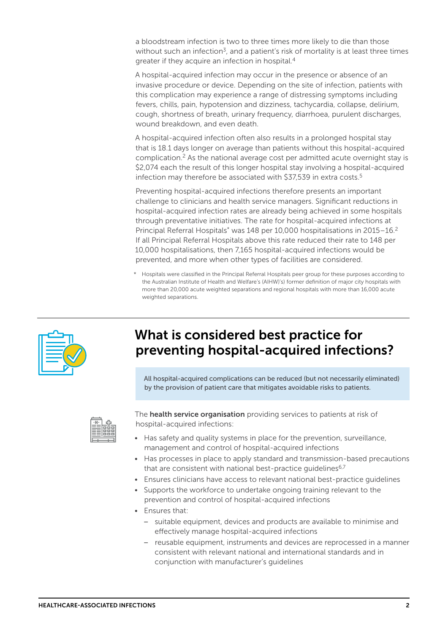a bloodstream infection is two to three times more likely to die than those without such an infection<sup>[3](#page-33-2)</sup>, and a patient's risk of mortality is at least three times greater if they acquire an infection in hospital.[4](#page-33-3)

A hospital-acquired infection may occur in the presence or absence of an invasive procedure or device. Depending on the site of infection, patients with this complication may experience a range of distressing symptoms including fevers, chills, pain, hypotension and dizziness, tachycardia, collapse, delirium, cough, shortness of breath, urinary frequency, diarrhoea, purulent discharges, wound breakdown, and even death.

A hospital-acquired infection often also results in a prolonged hospital stay that is 18.1 days longer on average than patients without this hospital-acquired complication.[2](#page-33-1) As the national average cost per admitted acute overnight stay is \$2,074 each the result of this longer hospital stay involving a hospital-acquired infection may therefore be associated with \$37,[5](#page-33-4)39 in extra costs.<sup>5</sup>

Preventing hospital-acquired infections therefore presents an important challenge to clinicians and health service managers. Significant reductions in hospital-acquired infection rates are already being achieved in some hospitals through preventative initiatives. The rate for hospital-acquired infections at Principal Referral Hospitals<sup>\*</sup> was 148 per 10,000 hospitalisations in 2015–16.<sup>2</sup> If all Principal Referral Hospitals above this rate reduced their rate to 148 per 10,000 hospitalisations, then 7,165 hospital-acquired infections would be prevented, and more when other types of facilities are considered.

\* Hospitals were classified in the Principal Referral Hospitals peer group for these purposes according to the Australian Institute of Health and Welfare's (AIHW)'s) former definition of major city hospitals with more than 20,000 acute weighted separations and regional hospitals with more than 16,000 acute weighted separations.



### What is considered best practice for preventing hospital-acquired infections?

All hospital-acquired complications can be reduced (but not necessarily eliminated) by the provision of patient care that mitigates avoidable risks to patients.



The **health service organisation** providing services to patients at risk of hospital-acquired infections:

- Has safety and quality systems in place for the prevention, surveillance, management and control of hospital-acquired infections
- Has processes in place to apply standard and transmission-based precautions that are consistent with national best-practice quidelines<sup>6,[7](#page-33-6)</sup>
- Ensures clinicians have access to relevant national best-practice guidelines
- Supports the workforce to undertake ongoing training relevant to the prevention and control of hospital-acquired infections
- Ensures that:
	- suitable equipment, devices and products are available to minimise and effectively manage hospital-acquired infections
	- reusable equipment, instruments and devices are reprocessed in a manner consistent with relevant national and international standards and in conjunction with manufacturer's guidelines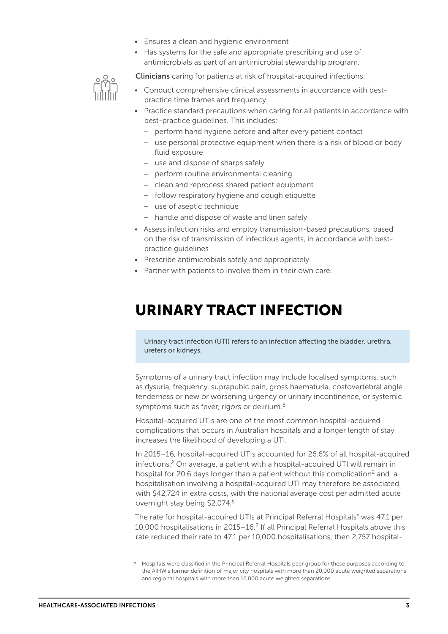- Ensures a clean and hygienic environment
- Has systems for the safe and appropriate prescribing and use of antimicrobials as part of an antimicrobial stewardship program.

Clinicians caring for patients at risk of hospital-acquired infections:



- Conduct comprehensive clinical assessments in accordance with bestpractice time frames and frequency
- Practice standard precautions when caring for all patients in accordance with best-practice guidelines. This includes:
	- perform hand hygiene before and after every patient contact
	- use personal protective equipment when there is a risk of blood or body fluid exposure
	- use and dispose of sharps safely
	- perform routine environmental cleaning
	- clean and reprocess shared patient equipment
	- follow respiratory hygiene and cough etiquette
	- use of aseptic technique
	- handle and dispose of waste and linen safely
- Assess infection risks and employ transmission-based precautions, based on the risk of transmission of infectious agents, in accordance with bestpractice guidelines
- Prescribe antimicrobials safely and appropriately
- Partner with patients to involve them in their own care.

### <span id="page-2-0"></span>URINARY TRACT INFECTION

Urinary tract infection (UTI) refers to an infection affecting the bladder, urethra, ureters or kidneys.

Symptoms of a urinary tract infection may include localised symptoms, such as dysuria, frequency, suprapubic pain, gross haematuria, costovertebral angle tenderness or new or worsening urgency or urinary incontinence, or systemic symptoms such as fever, rigors or delirium.<sup>8</sup>

Hospital-acquired UTIs are one of the most common hospital-acquired complications that occurs in Australian hospitals and a longer length of stay increases the likelihood of developing a UTI.

In 2015–16, hospital-acquired UTIs accounted for 26.6% of all hospital-acquired infections.[2](#page-33-1) On average, a patient with a hospital-acquired UTI will remain in hospital for 20.6 days longer than a patient without this complication<sup>2</sup> and a hospitalisation involving a hospital-acquired UTI may therefore be associated with \$42,724 in extra costs, with the national average cost per admitted acute overnight stay being \$2,074[.5](#page-33-4)

The rate for hospital-acquired UTIs at Principal Referral Hospitals\* was 47.1 per 10,000 hospitalisations in 2015–16.[2](#page-33-1) If all Principal Referral Hospitals above this rate reduced their rate to 47.1 per 10,000 hospitalisations, then 2,757 hospital-

<sup>\*</sup> Hospitals were classified in the Principal Referral Hospitals peer group for these purposes according to the AIHW's former definition of major city hospitals with more than 20,000 acute weighted separations and regional hospitals with more than 16,000 acute weighted separations.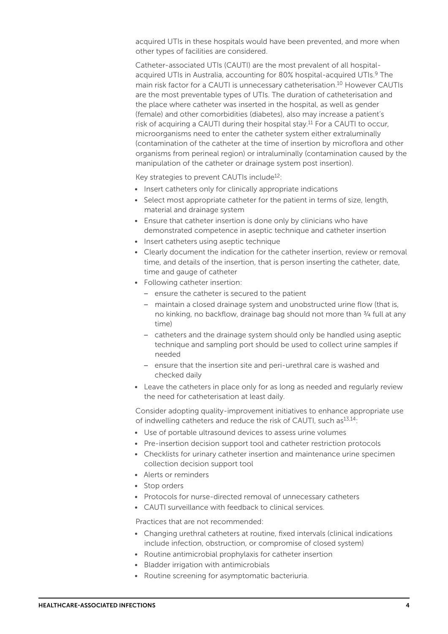acquired UTIs in these hospitals would have been prevented, and more when other types of facilities are considered.

Catheter-associated UTIs (CAUTI) are the most prevalent of all hospitalacquired UTIs in Australia, accounting for 80% hospital-acquired UTIs.<sup>9</sup> The main risk factor for a CAUTI is unnecessary catheterisation.<sup>10</sup> However CAUTIs are the most preventable types of UTIs. The duration of catheterisation and the place where catheter was inserted in the hospital, as well as gender (female) and other comorbidities (diabetes), also may increase a patient's risk of acquiring a CAUTI during their hospital stay.<sup>[11](#page-33-10)</sup> For a CAUTI to occur, microorganisms need to enter the catheter system either extraluminally (contamination of the catheter at the time of insertion by microflora and other organisms from perineal region) or intraluminally (contamination caused by the manipulation of the catheter or drainage system post insertion).

Key strategies to prevent CAUTIs include<sup>[12](#page-33-11)</sup>:

- Insert catheters only for clinically appropriate indications
- Select most appropriate catheter for the patient in terms of size, length, material and drainage system
- Ensure that catheter insertion is done only by clinicians who have demonstrated competence in aseptic technique and catheter insertion
- Insert catheters using aseptic technique
- Clearly document the indication for the catheter insertion, review or removal time, and details of the insertion, that is person inserting the catheter, date, time and gauge of catheter
- Following catheter insertion:
	- ensure the catheter is secured to the patient
	- maintain a closed drainage system and unobstructed urine flow (that is, no kinking, no backflow, drainage bag should not more than 3/4 full at any time)
	- catheters and the drainage system should only be handled using aseptic technique and sampling port should be used to collect urine samples if needed
	- ensure that the insertion site and peri-urethral care is washed and checked daily
- Leave the catheters in place only for as long as needed and regularly review the need for catheterisation at least daily.

Consider adopting quality-improvement initiatives to enhance appropriate use of indwelling catheters and reduce the risk of CAUTI, such as<sup>[13,](#page-33-12)14</sup>:

- Use of portable ultrasound devices to assess urine volumes
- Pre-insertion decision support tool and catheter restriction protocols
- Checklists for urinary catheter insertion and maintenance urine specimen collection decision support tool
- Alerts or reminders
- Stop orders
- Protocols for nurse-directed removal of unnecessary catheters
- CAUTI surveillance with feedback to clinical services.

Practices that are not recommended:

- Changing urethral catheters at routine, fixed intervals (clinical indications include infection, obstruction, or compromise of closed system)
- Routine antimicrobial prophylaxis for catheter insertion
- Bladder irrigation with antimicrobials
- Routine screening for asymptomatic bacteriuria.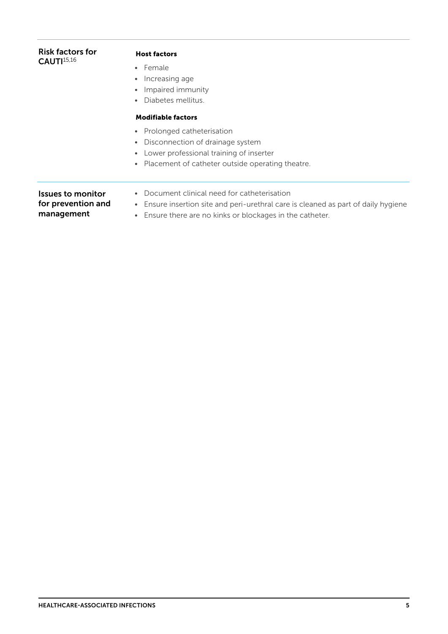| <b>Risk factors for</b><br>CAUTI <sup>15,16</sup>     | <b>Host factors</b><br>• Female<br>Increasing age<br>٠<br>Impaired immunity<br>Diabetes mellitus.                                                                                                                                             |
|-------------------------------------------------------|-----------------------------------------------------------------------------------------------------------------------------------------------------------------------------------------------------------------------------------------------|
|                                                       | <b>Modifiable factors</b><br>Prolonged catheterisation<br>$\bullet$<br>Disconnection of drainage system<br>$\bullet$<br>Lower professional training of inserter<br>$\bullet$<br>Placement of catheter outside operating theatre.<br>$\bullet$ |
| Issues to monitor<br>for prevention and<br>management | Document clinical need for catheterisation<br>Ensure insertion site and peri-urethral care is cleaned as part of daily hygiene<br>$\bullet$<br>Ensure there are no kinks or blockages in the catheter.<br>$\bullet$                           |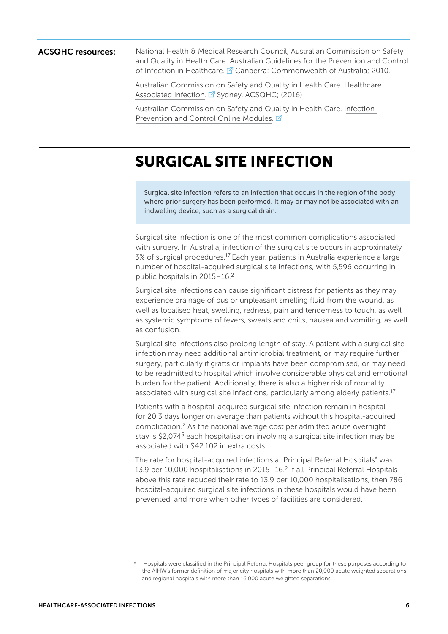ACSQHC resources: National Health & Medical Research Council, Australian Commission on Safety and Quality in Health Care. [Australian Guidelines for the Prevention and Control](https://www.nhmrc.gov.au/guidelines-publications/cd33)  [of Infection in Healthcare](https://www.nhmrc.gov.au/guidelines-publications/cd33). **Z** Canberra: Commonwealth of Australia; 2010.

> Australian Commission on Safety and Quality in Health Care. [Healthcare](https://www.safetyandquality.gov.au/our-work/healthcare-associated-infection/)  [Associated Infection](https://www.safetyandquality.gov.au/our-work/healthcare-associated-infection/). <sup>2</sup> Sydney. ACSQHC; (2016)

Australian Commission on Safety and Quality in Health Care. [Infection](https://www.safetyandquality.gov.au/our-work/healthcare-associated-infection/building-clinician-capacity/infection-prevention-and-control-online-modules/)  [Prevention and Control Online Modules](https://www.safetyandquality.gov.au/our-work/healthcare-associated-infection/building-clinician-capacity/infection-prevention-and-control-online-modules/). [7]

## <span id="page-5-0"></span>SURGICAL SITE INFECTION

Surgical site infection refers to an infection that occurs in the region of the body where prior surgery has been performed. It may or may not be associated with an indwelling device, such as a surgical drain.

Surgical site infection is one of the most common complications associated with surgery. In Australia, infection of the surgical site occurs in approximately 3% of surgical procedures[.17](#page-33-16) Each year, patients in Australia experience a large number of hospital-acquired surgical site infections, with 5,596 occurring in public hospitals in 2015–16[.2](#page-33-1)

Surgical site infections can cause significant distress for patients as they may experience drainage of pus or unpleasant smelling fluid from the wound, as well as localised heat, swelling, redness, pain and tenderness to touch, as well as systemic symptoms of fevers, sweats and chills, nausea and vomiting, as well as confusion.

Surgical site infections also prolong length of stay. A patient with a surgical site infection may need additional antimicrobial treatment, or may require further surgery, particularly if grafts or implants have been compromised, or may need to be readmitted to hospital which involve considerable physical and emotional burden for the patient. Additionally, there is also a higher risk of mortality associated with surgical site infections, particularly among elderly patients.<sup>[17](#page-33-16)</sup>

Patients with a hospital-acquired surgical site infection remain in hospital for 20.3 days longer on average than patients without this hospital-acquired complication.[2](#page-33-1) As the national average cost per admitted acute overnight stay is \$2,074<sup>5</sup> each hospitalisation involving a surgical site infection may be associated with \$42,102 in extra costs.

The rate for hospital-acquired infections at Principal Referral Hospitals\* was 13.9 per 10,000 hospitalisations in 2015–16.[2](#page-33-1) If all Principal Referral Hospitals above this rate reduced their rate to 13.9 per 10,000 hospitalisations, then 786 hospital-acquired surgical site infections in these hospitals would have been prevented, and more when other types of facilities are considered.

Hospitals were classified in the Principal Referral Hospitals peer group for these purposes according to the AIHW's former definition of major city hospitals with more than 20,000 acute weighted separations and regional hospitals with more than 16,000 acute weighted separations.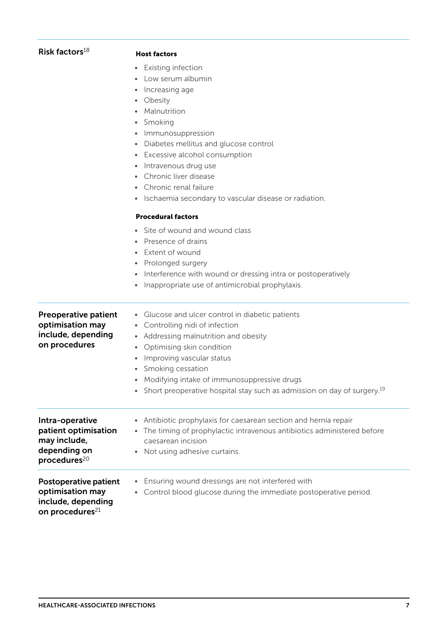| Risk factors $18$                                                                                   | <b>Host factors</b><br><b>Existing infection</b><br>$\bullet$<br>Low serum albumin<br>Increasing age<br>$\bullet$<br>Obesity<br>$\bullet$<br>Malnutrition<br>Smoking<br>$\bullet$<br>Immunosuppression<br>$\bullet$<br>Diabetes mellitus and glucose control<br>$\bullet$<br>• Excessive alcohol consumption<br>Intravenous drug use<br>Chronic liver disease<br>$\bullet$<br>Chronic renal failure<br>• Ischaemia secondary to vascular disease or radiation. |
|-----------------------------------------------------------------------------------------------------|----------------------------------------------------------------------------------------------------------------------------------------------------------------------------------------------------------------------------------------------------------------------------------------------------------------------------------------------------------------------------------------------------------------------------------------------------------------|
|                                                                                                     | <b>Procedural factors</b><br>Site of wound and wound class<br>$\bullet$<br>Presence of drains<br>Extent of wound<br>• Prolonged surgery<br>Interference with wound or dressing intra or postoperatively<br>Inappropriate use of antimicrobial prophylaxis.                                                                                                                                                                                                     |
| <b>Preoperative patient</b><br>optimisation may<br>include, depending<br>on procedures              | Glucose and ulcer control in diabetic patients<br>• Controlling nidi of infection<br>• Addressing malnutrition and obesity<br>Optimising skin condition<br>$\bullet$<br>Improving vascular status<br>$\bullet$<br>• Smoking cessation<br>• Modifying intake of immunosuppressive drugs<br>Short preoperative hospital stay such as admission on day of surgery. <sup>19</sup>                                                                                  |
| Intra-operative<br>patient optimisation<br>may include,<br>depending on<br>procedures <sup>20</sup> | Antibiotic prophylaxis for caesarean section and hernia repair<br>$\bullet$<br>• The timing of prophylactic intravenous antibiotics administered before<br>caesarean incision<br>Not using adhesive curtains.                                                                                                                                                                                                                                                  |
| Postoperative patient<br>optimisation may<br>include, depending<br>on procedures <sup>21</sup>      | Ensuring wound dressings are not interfered with<br>Control blood glucose during the immediate postoperative period.<br>$\bullet$                                                                                                                                                                                                                                                                                                                              |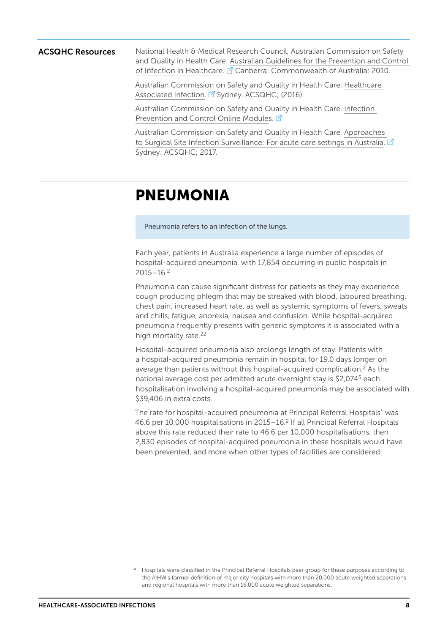**ACSQHC Resources** National Health & Medical Research Council, Australian Commission on Safety and Quality in Health Care. [Australian Guidelines for the Prevention and Control](https://www.nhmrc.gov.au/guidelines-publications/cd33)  [of Infection in Healthcare](https://www.nhmrc.gov.au/guidelines-publications/cd33). <sup>7</sup> Canberra: Commonwealth of Australia; 2010.

> Australian Commission on Safety and Quality in Health Care. [Healthcare](https://www.safetyandquality.gov.au/our-work/healthcare-associated-infection/)  [Associated Infection](https://www.safetyandquality.gov.au/our-work/healthcare-associated-infection/). <sup>7</sup> Sydney. ACSQHC; (2016).

Australian Commission on Safety and Quality in Health Care. [Infection](https://www.safetyandquality.gov.au/our-work/healthcare-associated-infection/building-clinician-capacity/infection-prevention-and-control-online-modules/)  [Prevention and Control Online Module](https://www.safetyandquality.gov.au/our-work/healthcare-associated-infection/building-clinician-capacity/infection-prevention-and-control-online-modules/)s. <sup>7</sup>

Australian Commission on Safety and Quality in Health Care. [Approaches](https://www.safetyandquality.gov.au/publications/approaches-to-surgical-site-infection-surveillance/)  [to Surgical Site Infection Surveillance: For acute care settings in Australia.](https://www.safetyandquality.gov.au/publications/approaches-to-surgical-site-infection-surveillance/)  $\mathbb{Z}$ Sydney: ACSQHC; 2017.

## <span id="page-7-0"></span>PNEUMONIA

Pneumonia refers to an infection of the lungs.

Each year, patients in Australia experience a large number of episodes of hospital-acquired pneumonia, with 17,854 occurring in public hospitals in  $2015 - 16.2$  $2015 - 16.2$ 

Pneumonia can cause significant distress for patients as they may experience cough producing phlegm that may be streaked with blood, laboured breathing, chest pain, increased heart rate, as well as systemic symptoms of fevers, sweats and chills, fatigue, anorexia, nausea and confusion. While hospital-acquired pneumonia frequently presents with generic symptoms it is associated with a high mortality rate[.22](#page-33-21)

Hospital-acquired pneumonia also prolongs length of stay. Patients with a hospital-acquired pneumonia remain in hospital for 19.0 days longer on average than patients without this hospital-acquired complication.<sup>2</sup> As the national average cost per admitted acute overnight stay is \$2,07[45](#page-33-4) each hospitalisation involving a hospital-acquired pneumonia may be associated with \$39,406 in extra costs.

The rate for hospital-acquired pneumonia at Principal Referral Hospitals\* was 46.6 per 10,000 hospitalisations in 2015–16.[2](#page-33-1) If all Principal Referral Hospitals above this rate reduced their rate to 46.6 per 10,000 hospitalisations, then 2,830 episodes of hospital-acquired pneumonia in these hospitals would have been prevented, and more when other types of facilities are considered.

<sup>\*</sup> Hospitals were classified in the Principal Referral Hospitals peer group for these purposes according to the AIHW's former definition of major city hospitals with more than 20,000 acute weighted separations and regional hospitals with more than 16,000 acute weighted separations.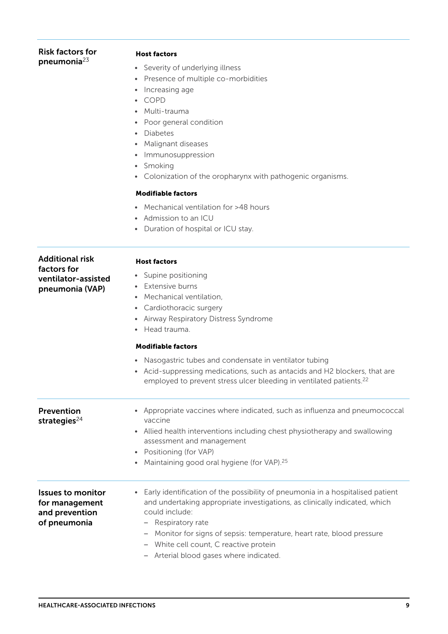#### Risk factors for pneumonia[23](#page-34-1)

#### Host factors

- Severity of underlying illness
- Presence of multiple co-morbidities
- Increasing age
- COPD
- Multi-trauma
- Poor general condition
- Diabetes
- Malignant diseases
- Immunosuppression
- Smoking
- Colonization of the oropharynx with pathogenic organisms.

#### Modifiable factors

- Mechanical ventilation for >48 hours
- Admission to an ICU
- Duration of hospital or ICU stay.

| <b>Additional risk</b>                                                       | <b>Host factors</b>                                                                                                                                                                                                                                                                                                                                                                                                                  |  |  |
|------------------------------------------------------------------------------|--------------------------------------------------------------------------------------------------------------------------------------------------------------------------------------------------------------------------------------------------------------------------------------------------------------------------------------------------------------------------------------------------------------------------------------|--|--|
| factors for<br>ventilator-assisted<br>pneumonia (VAP)                        | Supine positioning<br>$\bullet$<br>Extensive burns<br>Mechanical ventilation,<br>$\bullet$<br>Cardiothoracic surgery<br>$\bullet$<br>Airway Respiratory Distress Syndrome<br>$\bullet$<br>Head trauma.                                                                                                                                                                                                                               |  |  |
|                                                                              | <b>Modifiable factors</b>                                                                                                                                                                                                                                                                                                                                                                                                            |  |  |
|                                                                              | Nasogastric tubes and condensate in ventilator tubing<br>$\bullet$<br>• Acid-suppressing medications, such as antacids and H2 blockers, that are<br>employed to prevent stress ulcer bleeding in ventilated patients. <sup>22</sup>                                                                                                                                                                                                  |  |  |
| Prevention<br>strategies $^{24}$                                             | Appropriate vaccines where indicated, such as influenza and pneumococcal<br>vaccine<br>Allied health interventions including chest physiotherapy and swallowing<br>assessment and management<br>Positioning (for VAP)<br>$\bullet$<br>Maintaining good oral hygiene (for VAP). <sup>25</sup><br>$\bullet$                                                                                                                            |  |  |
| <b>Issues to monitor</b><br>for management<br>and prevention<br>of pneumonia | Early identification of the possibility of pneumonia in a hospitalised patient<br>$\bullet$<br>and undertaking appropriate investigations, as clinically indicated, which<br>could include:<br>- Respiratory rate<br>Monitor for signs of sepsis: temperature, heart rate, blood pressure<br>$\overline{\phantom{m}}$<br>White cell count, C reactive protein<br>$\overline{\phantom{m}}$<br>- Arterial blood gases where indicated. |  |  |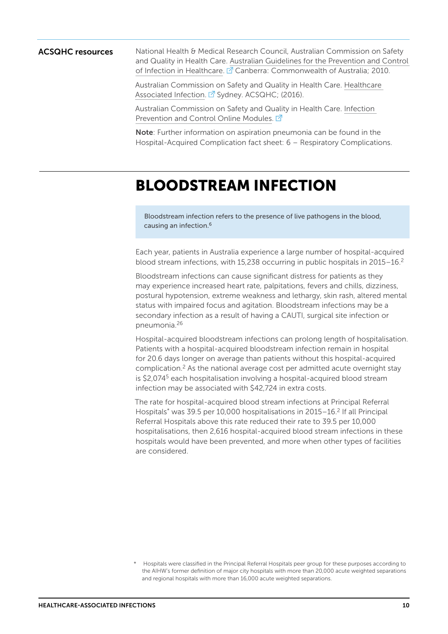**ACSQHC resources** National Health & Medical Research Council, Australian Commission on Safety and Quality in Health Care. [Australian Guidelines for the Prevention and Control](https://www.nhmrc.gov.au/guidelines-publications/cd33)  [of Infection in Healthcare](https://www.nhmrc.gov.au/guidelines-publications/cd33). <sup>7</sup> Canberra: Commonwealth of Australia; 2010.

> Australian Commission on Safety and Quality in Health Care. [Healthcare](https://www.safetyandquality.gov.au/our-work/healthcare-associated-infection/)  [Associated Infection](https://www.safetyandquality.gov.au/our-work/healthcare-associated-infection/). <sup>7</sup> Sydney. ACSQHC; (2016).

Australian Commission on Safety and Quality in Health Care. [Infection](https://www.safetyandquality.gov.au/our-work/healthcare-associated-infection/building-clinician-capacity/infection-prevention-and-control-online-modules)  [Prevention and Control Online Modules](https://www.safetyandquality.gov.au/our-work/healthcare-associated-infection/building-clinician-capacity/infection-prevention-and-control-online-modules). [7]

Note: Further information on aspiration pneumonia can be found in the Hospital-Acquired Complication fact sheet: 6 – Respiratory Complications.

### <span id="page-9-0"></span>BLOODSTREAM INFECTION

Bloodstream infection refers to the presence of live pathogens in the blood, causing an infection.[6](#page-33-5)

Each year, patients in Australia experience a large number of hospital-acquired blood stream infections, with 15,238 occurring in public hospitals in 2015–16.[2](#page-33-1)

Bloodstream infections can cause significant distress for patients as they may experience increased heart rate, palpitations, fevers and chills, dizziness, postural hypotension, extreme weakness and lethargy, skin rash, altered mental status with impaired focus and agitation. Bloodstream infections may be a secondary infection as a result of having a CAUTI, surgical site infection or pneumonia.[26](#page-34-3)

Hospital-acquired bloodstream infections can prolong length of hospitalisation. Patients with a hospital-acquired bloodstream infection remain in hospital for 20.6 days longer on average than patients without this hospital-acquired complication.[2](#page-33-1) As the national average cost per admitted acute overnight stay is \$2,07[45](#page-33-4) each hospitalisation involving a hospital-acquired blood stream infection may be associated with \$42,724 in extra costs.

The rate for hospital-acquired blood stream infections at Principal Referral Hospitals<sup>\*</sup> was 39.5 per 10,000 hospitalisations in 2015–16.<sup>2</sup> If all Principal Referral Hospitals above this rate reduced their rate to 39.5 per 10,000 hospitalisations, then 2,616 hospital-acquired blood stream infections in these hospitals would have been prevented, and more when other types of facilities are considered.

Hospitals were classified in the Principal Referral Hospitals peer group for these purposes according to the AIHW's former definition of major city hospitals with more than 20,000 acute weighted separations and regional hospitals with more than 16,000 acute weighted separations.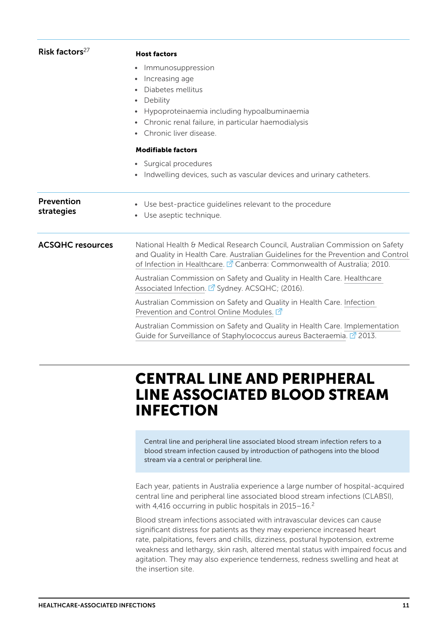| Risk factors $27$        | <b>Host factors</b>                                                                                                                                                                                                                                    |
|--------------------------|--------------------------------------------------------------------------------------------------------------------------------------------------------------------------------------------------------------------------------------------------------|
|                          | Immunosuppression<br>٠<br>Increasing age<br>$\bullet$<br>Diabetes mellitus<br>Debility<br>$\bullet$<br>Hypoproteinaemia including hypoalbuminaemia<br>$\bullet$<br>Chronic renal failure, in particular haemodialysis<br>۰<br>Chronic liver disease.   |
|                          | <b>Modifiable factors</b>                                                                                                                                                                                                                              |
|                          | • Surgical procedures<br>Indwelling devices, such as vascular devices and urinary catheters.<br>$\bullet$                                                                                                                                              |
| Prevention<br>strategies | Use best-practice guidelines relevant to the procedure<br>$\bullet$<br>Use aseptic technique.<br>$\bullet$                                                                                                                                             |
| <b>ACSQHC resources</b>  | National Health & Medical Research Council, Australian Commission on Safety<br>and Quality in Health Care. Australian Guidelines for the Prevention and Control<br>of Infection in Healthcare. <sup>2</sup> Canberra: Commonwealth of Australia; 2010. |
|                          | Australian Commission on Safety and Quality in Health Care. Healthcare<br>Associated Infection. Z Sydney. ACSQHC; (2016).                                                                                                                              |
|                          | Australian Commission on Safety and Quality in Health Care. Infection<br>Prevention and Control Online Modules. Z                                                                                                                                      |
|                          | Australian Commission on Safety and Quality in Health Care. Implementation<br>Guide for Surveillance of Staphylococcus aureus Bacteraemia. <sup>7</sup> 2013.                                                                                          |

### <span id="page-10-0"></span>CENTRAL LINE AND PERIPHERAL LINE ASSOCIATED BLOOD STREAM INFECTION

Central line and peripheral line associated blood stream infection refers to a blood stream infection caused by introduction of pathogens into the blood stream via a central or peripheral line.

Each year, patients in Australia experience a large number of hospital-acquired central line and peripheral line associated blood stream infections (CLABSI), with 4,416 occurring in public hospitals in 2015-16.<sup>2</sup>

Blood stream infections associated with intravascular devices can cause significant distress for patients as they may experience increased heart rate, palpitations, fevers and chills, dizziness, postural hypotension, extreme weakness and lethargy, skin rash, altered mental status with impaired focus and agitation. They may also experience tenderness, redness swelling and heat at the insertion site.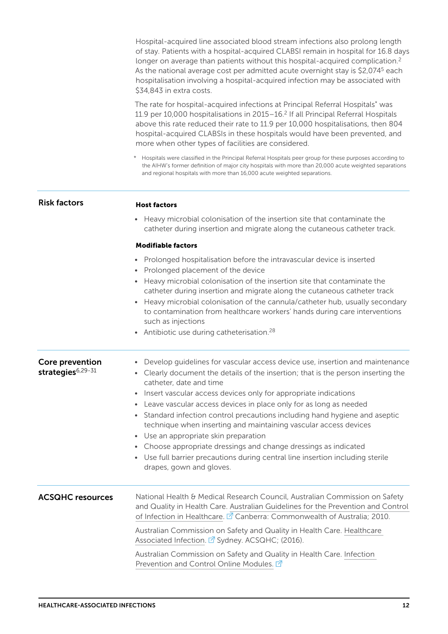Hospital-acquired line associated blood stream infections also prolong length of stay. Patients with a hospital-acquired CLABSI remain in hospital for 16.8 days longer on average than patients without this hospital-acquired complication.<sup>[2](#page-33-1)</sup> As the national average cost per admitted acute overnight stay is \$2,07[45](#page-33-4) each hospitalisation involving a hospital-acquired infection may be associated with \$34,843 in extra costs.

The rate for hospital-acquired infections at Principal Referral Hospitals\* was 11.9 per 10,000 hospitalisations in 2015–16.[2](#page-33-1) If all Principal Referral Hospitals above this rate reduced their rate to 11.9 per 10,000 hospitalisations, then 804 hospital-acquired CLABSIs in these hospitals would have been prevented, and more when other types of facilities are considered.

\* Hospitals were classified in the Principal Referral Hospitals peer group for these purposes according to the AIHW's former definition of major city hospitals with more than 20,000 acute weighted separations and regional hospitals with more than 16,000 acute weighted separations.

| <b>Risk factors</b>                              | <b>Host factors</b>                                                                                                                                                                                                                                                                                                                                                                                                                                                                                                                                                                                                                                                                                                  |
|--------------------------------------------------|----------------------------------------------------------------------------------------------------------------------------------------------------------------------------------------------------------------------------------------------------------------------------------------------------------------------------------------------------------------------------------------------------------------------------------------------------------------------------------------------------------------------------------------------------------------------------------------------------------------------------------------------------------------------------------------------------------------------|
|                                                  | Heavy microbial colonisation of the insertion site that contaminate the<br>catheter during insertion and migrate along the cutaneous catheter track.                                                                                                                                                                                                                                                                                                                                                                                                                                                                                                                                                                 |
|                                                  | <b>Modifiable factors</b>                                                                                                                                                                                                                                                                                                                                                                                                                                                                                                                                                                                                                                                                                            |
|                                                  | Prolonged hospitalisation before the intravascular device is inserted<br>Prolonged placement of the device<br>$\bullet$<br>• Heavy microbial colonisation of the insertion site that contaminate the<br>catheter during insertion and migrate along the cutaneous catheter track<br>• Heavy microbial colonisation of the cannula/catheter hub, usually secondary<br>to contamination from healthcare workers' hands during care interventions<br>such as injections<br>• Antibiotic use during catheterisation. <sup>28</sup>                                                                                                                                                                                       |
| Core prevention<br>strategies <sup>6,29-31</sup> | Develop guidelines for vascular access device use, insertion and maintenance<br>• Clearly document the details of the insertion; that is the person inserting the<br>catheter, date and time<br>• Insert vascular access devices only for appropriate indications<br>• Leave vascular access devices in place only for as long as needed<br>Standard infection control precautions including hand hygiene and aseptic<br>technique when inserting and maintaining vascular access devices<br>• Use an appropriate skin preparation<br>• Choose appropriate dressings and change dressings as indicated<br>• Use full barrier precautions during central line insertion including sterile<br>drapes, gown and gloves. |
| <b>ACSQHC resources</b>                          | National Health & Medical Research Council, Australian Commission on Safety<br>and Quality in Health Care. Australian Guidelines for the Prevention and Control<br>of Infection in Healthcare. <sup>2</sup> Canberra: Commonwealth of Australia; 2010.<br>Australian Commission on Safety and Quality in Health Care. Healthcare<br>Associated Infection. Z Sydney. ACSQHC; (2016).                                                                                                                                                                                                                                                                                                                                  |
|                                                  | Australian Commission on Safety and Quality in Health Care. Infection<br>Prevention and Control Online Modules. <b>△</b>                                                                                                                                                                                                                                                                                                                                                                                                                                                                                                                                                                                             |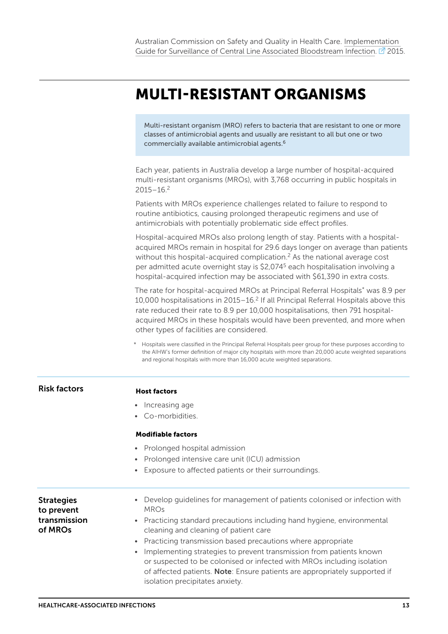## <span id="page-12-0"></span>MULTI-RESISTANT ORGANISMS

Multi-resistant organism (MRO) refers to bacteria that are resistant to one or more classes of antimicrobial agents and usually are resistant to all but one or two commercially available antimicrobial agents[.6](#page-33-5)

Each year, patients in Australia develop a large number of hospital-acquired multi-resistant organisms (MROs), with 3,768 occurring in public hospitals in  $2015 - 16.2$  $2015 - 16.2$ 

Patients with MROs experience challenges related to failure to respond to routine antibiotics, causing prolonged therapeutic regimens and use of antimicrobials with potentially problematic side effect profiles.

Hospital-acquired MROs also prolong length of stay. Patients with a hospitalacquired MROs remain in hospital for 29.6 days longer on average than patients without this hospital-acquired complication.<sup>2</sup> As the national average cost per admitted acute overnight stay is \$2,07[45](#page-33-4) each hospitalisation involving a hospital-acquired infection may be associated with \$61,390 in extra costs.

The rate for hospital-acquired MROs at Principal Referral Hospitals\* was 8.9 per 10,000 hospitalisations in 2015–16.[2](#page-33-1) If all Principal Referral Hospitals above this rate reduced their rate to 8.9 per 10,000 hospitalisations, then 791 hospitalacquired MROs in these hospitals would have been prevented, and more when other types of facilities are considered.

\* Hospitals were classified in the Principal Referral Hospitals peer group for these purposes according to the AIHW's former definition of major city hospitals with more than 20,000 acute weighted separations and regional hospitals with more than 16,000 acute weighted separations.

|                                 | and regional hospitals with more than 16,000 acute weighted separations.                                                                                                                                                                                                    |
|---------------------------------|-----------------------------------------------------------------------------------------------------------------------------------------------------------------------------------------------------------------------------------------------------------------------------|
| <b>Risk factors</b>             | <b>Host factors</b>                                                                                                                                                                                                                                                         |
|                                 | • Increasing age                                                                                                                                                                                                                                                            |
|                                 | • Co-morbidities                                                                                                                                                                                                                                                            |
|                                 | <b>Modifiable factors</b>                                                                                                                                                                                                                                                   |
|                                 | • Prolonged hospital admission                                                                                                                                                                                                                                              |
|                                 | Prolonged intensive care unit (ICU) admission<br>$\bullet$                                                                                                                                                                                                                  |
|                                 | Exposure to affected patients or their surroundings.<br>$\bullet$                                                                                                                                                                                                           |
| <b>Strategies</b><br>to prevent | Develop guidelines for management of patients colonised or infection with<br><b>MROs</b>                                                                                                                                                                                    |
| transmission<br>of MROs         | Practicing standard precautions including hand hygiene, environmental<br>cleaning and cleaning of patient care                                                                                                                                                              |
|                                 | Practicing transmission based precautions where appropriate<br>$\bullet$                                                                                                                                                                                                    |
|                                 | Implementing strategies to prevent transmission from patients known<br>$\bullet$<br>or suspected to be colonised or infected with MROs including isolation<br>of affected patients. Note: Ensure patients are appropriately supported if<br>isolation precipitates anxiety. |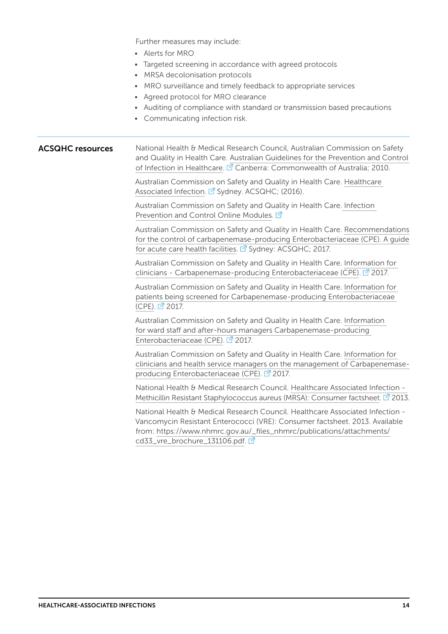Further measures may include:

- Alerts for MRO
- Targeted screening in accordance with agreed protocols
- MRSA decolonisation protocols
- MRO surveillance and timely feedback to appropriate services
- Agreed protocol for MRO clearance
- Auditing of compliance with standard or transmission based precautions
- Communicating infection risk.

#### National Health & Medical Research Council, Australian Commission on Safety and Quality in Health Care. [Australian Guidelines for the Prevention and Control](https://www.nhmrc.gov.au/guidelines-publications/cd33)  [of Infection in Healthcare](https://www.nhmrc.gov.au/guidelines-publications/cd33).  $\mathbb{Z}$  Canberra: Commonwealth of Australia; 2010. ACSQHC resources

Australian Commission on Safety and Quality in Health Care. [Healthcare](https://www.safetyandquality.gov.au/our-work/healthcare-associated-infection/)  [Associated Infection](https://www.safetyandquality.gov.au/our-work/healthcare-associated-infection/). <sup>7</sup> Sydney. ACSQHC; (2016).

Australian Commission on Safety and Quality in Health Care. [Infection](https://www.safetyandquality.gov.au/our-work/healthcare-associated-infection/building-clinician-capacity/infection-prevention-and-control-online-modules/)  [Prevention and Control Online Modules](https://www.safetyandquality.gov.au/our-work/healthcare-associated-infection/building-clinician-capacity/infection-prevention-and-control-online-modules/). <sup>7</sup>

Australian Commission on Safety and Quality in Health Care. [Recommendations](https://www.safetyandquality.gov.au/wp-content/uploads/2017/05/Recommendations-for-the-control-of-Carbapenemase-producing-Enterobacteriaceae.pdf)  [for the control of carbapenemase-producing Enterobacteriaceae \(CPE\). A guide](https://www.safetyandquality.gov.au/wp-content/uploads/2017/05/Recommendations-for-the-control-of-Carbapenemase-producing-Enterobacteriaceae.pdf)  [for acute care health facilities](https://www.safetyandquality.gov.au/wp-content/uploads/2017/05/Recommendations-for-the-control-of-Carbapenemase-producing-Enterobacteriaceae.pdf).  $\vec{A}$  Sydney: ACSQHC; 2017.

Australian Commission on Safety and Quality in Health Care. [Information for](https://www.safetyandquality.gov.au/wp-content/uploads/2017/12/CPE-Guide-Information-for-clinicians.pdf)  [clinicians - Carbapenemase-producing Enterobacteriaceae \(CPE\)](https://www.safetyandquality.gov.au/wp-content/uploads/2017/12/CPE-Guide-Information-for-clinicians.pdf).  $\vec{P}$  2017.

Australian Commission on Safety and Quality in Health Care. [Information for](https://www.safetyandquality.gov.au/wp-content/uploads/2017/12/CPE-Guide_Patient-information.pdf)  [patients being screened for Carbapenemase-producing Enterobacteriaceae](https://www.safetyandquality.gov.au/wp-content/uploads/2017/12/CPE-Guide_Patient-information.pdf)  [\(CPE\).](https://www.safetyandquality.gov.au/wp-content/uploads/2017/12/CPE-Guide_Patient-information.pdf) 2017.

Australian Commission on Safety and Quality in Health Care. [Information](https://www.safetyandquality.gov.au/wp-content/uploads/2017/12/CPE-Guide_Checklist-for-ward-staff-and-after-hours-managers.pdf)  [for ward staff and after-hours managers Carbapenemase-producing](https://www.safetyandquality.gov.au/wp-content/uploads/2017/12/CPE-Guide_Checklist-for-ward-staff-and-after-hours-managers.pdf)  [Enterobacteriaceae \(CPE\)](https://www.safetyandquality.gov.au/wp-content/uploads/2017/12/CPE-Guide_Checklist-for-ward-staff-and-after-hours-managers.pdf). 2017.

Australian Commission on Safety and Quality in Health Care. [Information for](https://www.safetyandquality.gov.au/wp-content/uploads/2017/12/Information-for-clinicians-and-health-service-managers-on-the-management-of-CPE.pdf)  [clinicians and health service managers on the management of Carbapenemase](https://www.safetyandquality.gov.au/wp-content/uploads/2017/12/Information-for-clinicians-and-health-service-managers-on-the-management-of-CPE.pdf)[producing Enterobacteriaceae \(CPE\).](https://www.safetyandquality.gov.au/wp-content/uploads/2017/12/Information-for-clinicians-and-health-service-managers-on-the-management-of-CPE.pdf) 2017.

National Health & Medical Research Council. [Healthcare Associated Infection -](https://www.nhmrc.gov.au/_files_nhmrc/publications/attachments/cd33_mrsa_brochure_131106.pdf)  [Methicillin Resistant Staphylococcus aureus \(MRSA\): Consumer factsheet.](https://www.nhmrc.gov.au/_files_nhmrc/publications/attachments/cd33_mrsa_brochure_131106.pdf)  $\vec{P}$  2013.

National Health & Medical Research Council. Healthcare Associated Infection - Vancomycin Resistant Enterococci (VRE): Consumer factsheet. 2013. Available from: [https://www.nhmrc.gov.au/\\_files\\_nhmrc/publications/attachments/](https://www.nhmrc.gov.au/_files_nhmrc/publications/attachments/cd33_vre_brochure_131106.pdf) [cd33\\_vre\\_brochure\\_131106.pdf](https://www.nhmrc.gov.au/_files_nhmrc/publications/attachments/cd33_vre_brochure_131106.pdf).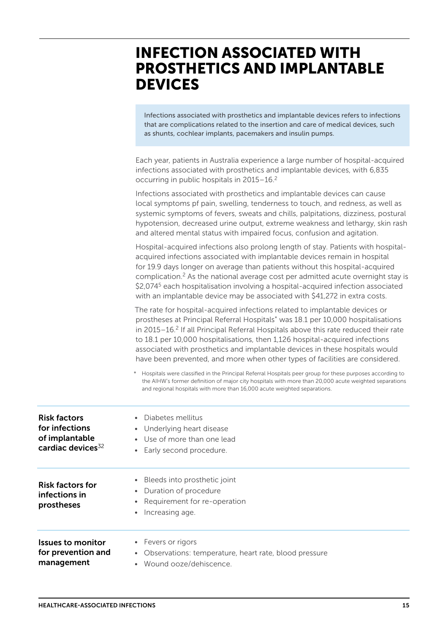## <span id="page-14-0"></span>INFECTION ASSOCIATED WITH PROSTHETICS AND IMPLANTABLE DEVICES

Infections associated with prosthetics and implantable devices refers to infections that are complications related to the insertion and care of medical devices, such as shunts, cochlear implants, pacemakers and insulin pumps.

|                                                                                          | Each year, patients in Australia experience a large number of hospital-acquired<br>infections associated with prosthetics and implantable devices, with 6,835<br>occurring in public hospitals in 2015-16. <sup>2</sup>                                                                                                                                                                                                                                                                                                                                                                                                                                                                                                                                                                                               |
|------------------------------------------------------------------------------------------|-----------------------------------------------------------------------------------------------------------------------------------------------------------------------------------------------------------------------------------------------------------------------------------------------------------------------------------------------------------------------------------------------------------------------------------------------------------------------------------------------------------------------------------------------------------------------------------------------------------------------------------------------------------------------------------------------------------------------------------------------------------------------------------------------------------------------|
|                                                                                          | Infections associated with prosthetics and implantable devices can cause<br>local symptoms pf pain, swelling, tenderness to touch, and redness, as well as<br>systemic symptoms of fevers, sweats and chills, palpitations, dizziness, postural<br>hypotension, decreased urine output, extreme weakness and lethargy, skin rash<br>and altered mental status with impaired focus, confusion and agitation.                                                                                                                                                                                                                                                                                                                                                                                                           |
|                                                                                          | Hospital-acquired infections also prolong length of stay. Patients with hospital-<br>acquired infections associated with implantable devices remain in hospital<br>for 19.9 days longer on average than patients without this hospital-acquired<br>complication. <sup>2</sup> As the national average cost per admitted acute overnight stay is<br>\$2,074 <sup>5</sup> each hospitalisation involving a hospital-acquired infection associated<br>with an implantable device may be associated with \$41,272 in extra costs.                                                                                                                                                                                                                                                                                         |
|                                                                                          | The rate for hospital-acquired infections related to implantable devices or<br>prostheses at Principal Referral Hospitals* was 18.1 per 10,000 hospitalisations<br>in 2015-16. <sup>2</sup> If all Principal Referral Hospitals above this rate reduced their rate<br>to 18.1 per 10,000 hospitalisations, then 1,126 hospital-acquired infections<br>associated with prosthetics and implantable devices in these hospitals would<br>have been prevented, and more when other types of facilities are considered.<br>* Hospitals were classified in the Principal Referral Hospitals peer group for these purposes according to<br>the AIHW's former definition of major city hospitals with more than 20,000 acute weighted separations<br>and regional hospitals with more than 16,000 acute weighted separations. |
| <b>Risk factors</b><br>for infections<br>of implantable<br>cardiac devices <sup>32</sup> | Diabetes mellitus<br>Underlying heart disease<br>Use of more than one lead<br>Early second procedure.                                                                                                                                                                                                                                                                                                                                                                                                                                                                                                                                                                                                                                                                                                                 |
| <b>Risk factors for</b><br>infections in<br>prostheses                                   | Bleeds into prosthetic joint<br>$\bullet$<br>Duration of procedure<br>Requirement for re-operation<br>Increasing age.                                                                                                                                                                                                                                                                                                                                                                                                                                                                                                                                                                                                                                                                                                 |
| <b>Issues to monitor</b><br>for prevention and<br>management                             | Fevers or rigors<br>$\bullet$<br>• Observations: temperature, heart rate, blood pressure<br>Wound ooze/dehiscence.                                                                                                                                                                                                                                                                                                                                                                                                                                                                                                                                                                                                                                                                                                    |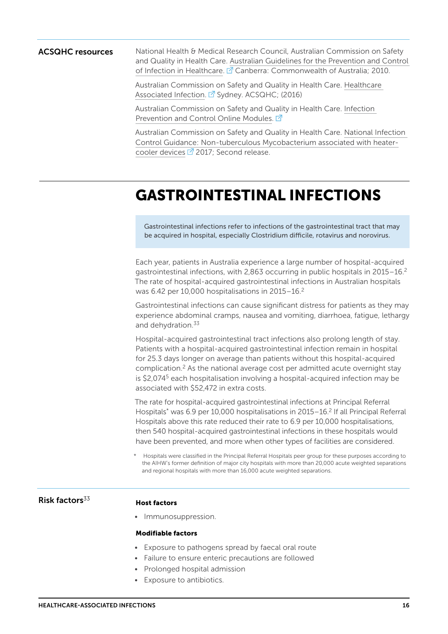ACSQHC resources National Health & Medical Research Council, Australian Commission on Safety and Quality in Health Care. [Australian Guidelines for the Prevention and Control](https://www.nhmrc.gov.au/guidelines-publications/cd33)  [of Infection in Healthcare](https://www.nhmrc.gov.au/guidelines-publications/cd33). **Z** Canberra: Commonwealth of Australia; 2010.

> Australian Commission on Safety and Quality in Health Care. [Healthcare](https://www.safetyandquality.gov.au/our-work/healthcare-associated-infection/)  [Associated Infection](https://www.safetyandquality.gov.au/our-work/healthcare-associated-infection/). <sup>2</sup> Sydney. ACSQHC; (2016)

Australian Commission on Safety and Quality in Health Care. [Infection](https://www.safetyandquality.gov.au/our-work/healthcare-associated-infection/building-clinician-capacity/infection-prevention-and-control-online-modules/)  [Prevention and Control Online Modules](https://www.safetyandquality.gov.au/our-work/healthcare-associated-infection/building-clinician-capacity/infection-prevention-and-control-online-modules/). <sup>7</sup>

Australian Commission on Safety and Quality in Health Care. [National Infection](https://www.safetyandquality.gov.au/wp-content/uploads/2016/09/National-Infection-Control-guidance-for-NTM-associated-with-heater-devices-Feb-2017.pdf)  [Control Guidance: Non-tuberculous Mycobacterium associated with heater](https://www.safetyandquality.gov.au/wp-content/uploads/2016/09/National-Infection-Control-guidance-for-NTM-associated-with-heater-devices-Feb-2017.pdf)[cooler devices](https://www.safetyandquality.gov.au/wp-content/uploads/2016/09/National-Infection-Control-guidance-for-NTM-associated-with-heater-devices-Feb-2017.pdf)  $\mathbb{Z}$  2017; Second release.

## <span id="page-15-0"></span>GASTROINTESTINAL INFECTIONS

Gastrointestinal infections refer to infections of the gastrointestinal tract that may be acquired in hospital, especially Clostridium difficile, rotavirus and norovirus.

Each year, patients in Australia experience a large number of hospital-acquired gastrointestinal infections, with 2,863 occurring in public hospitals in 2015-16.<sup>2</sup> The rate of hospital-acquired gastrointestinal infections in Australian hospitals was 6.42 per 10,000 hospitalisations in 2015–16[.2](#page-33-1)

Gastrointestinal infections can cause significant distress for patients as they may experience abdominal cramps, nausea and vomiting, diarrhoea, fatigue, lethargy and dehydration.<sup>33</sup>

Hospital-acquired gastrointestinal tract infections also prolong length of stay. Patients with a hospital-acquired gastrointestinal infection remain in hospital for 25.3 days longer on average than patients without this hospital-acquired complication.[2](#page-33-1) As the national average cost per admitted acute overnight stay is \$2,074<sup>5</sup> each hospitalisation involving a hospital-acquired infection may be associated with \$52,472 in extra costs.

The rate for hospital-acquired gastrointestinal infections at Principal Referral Hospitals<sup>\*</sup> was 6.9 per 10,000 hospitalisations in 2015–16.<sup>2</sup> If all Principal Referral Hospitals above this rate reduced their rate to 6.9 per 10,000 hospitalisations, then 540 hospital-acquired gastrointestinal infections in these hospitals would have been prevented, and more when other types of facilities are considered.

### Risk factors ${}^{33}$  ${}^{33}$  ${}^{33}$  Host factors

• Immunosuppression.

#### Modifiable factors

- Exposure to pathogens spread by faecal oral route
- Failure to ensure enteric precautions are followed
- Prolonged hospital admission
- Exposure to antibiotics.

Hospitals were classified in the Principal Referral Hospitals peer group for these purposes according to the AIHW's former definition of major city hospitals with more than 20,000 acute weighted separations and regional hospitals with more than 16,000 acute weighted separations.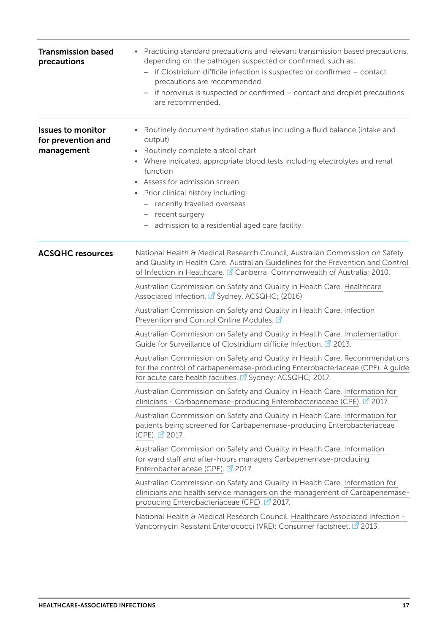| <b>Transmission based</b><br>precautions                     | Practicing standard precautions and relevant transmission based precautions,<br>depending on the pathogen suspected or confirmed, such as:<br>- if Clostridium difficile infection is suspected or confirmed - contact<br>precautions are recommended<br>if norovirus is suspected or confirmed - contact and droplet precautions<br>are recommended.                                                         |
|--------------------------------------------------------------|---------------------------------------------------------------------------------------------------------------------------------------------------------------------------------------------------------------------------------------------------------------------------------------------------------------------------------------------------------------------------------------------------------------|
| <b>Issues to monitor</b><br>for prevention and<br>management | Routinely document hydration status including a fluid balance (intake and<br>output)<br>• Routinely complete a stool chart<br>Where indicated, appropriate blood tests including electrolytes and renal<br>$\bullet$<br>function<br>• Assess for admission screen<br>Prior clinical history including:<br>- recently travelled overseas<br>- recent surgery<br>admission to a residential aged care facility. |
| <b>ACSQHC resources</b>                                      | National Health & Medical Research Council, Australian Commission on Safety<br>and Quality in Health Care. Australian Guidelines for the Prevention and Control<br>of Infection in Healthcare. <sup>2</sup> Canberra: Commonwealth of Australia; 2010.<br>Australian Commission on Safety and Quality in Health Care. Healthcare<br>Associated Infection. 2 Sydney. ACSQHC; (2016)                            |
|                                                              | Australian Commission on Safety and Quality in Health Care. Infection<br>Prevention and Control Online Modules. 2                                                                                                                                                                                                                                                                                             |
|                                                              | Australian Commission on Safety and Quality in Health Care. Implementation<br>Guide for Surveillance of Clostridium difficile Infection. <sup>7</sup> 2013.                                                                                                                                                                                                                                                   |
|                                                              | Australian Commission on Safety and Quality in Health Care. Recommendations<br>for the control of carbapenemase-producing Enterobacteriaceae (CPE). A guide<br>for acute care health facilities. <sup>7</sup> Sydney: ACSQHC; 2017.                                                                                                                                                                           |
|                                                              | Australian Commission on Safety and Quality in Health Care. Information for<br>clinicians - Carbapenemase-producing Enterobacteriaceae (CPE). 2017.                                                                                                                                                                                                                                                           |
|                                                              | Australian Commission on Safety and Quality in Health Care. Information for<br>patients being screened for Carbapenemase-producing Enterobacteriaceae<br>(CPE). 2017.                                                                                                                                                                                                                                         |
|                                                              | Australian Commission on Safety and Quality in Health Care. Information<br>for ward staff and after-hours managers Carbapenemase-producing<br>Enterobacteriaceae (CPE). 2017.                                                                                                                                                                                                                                 |
|                                                              | Australian Commission on Safety and Quality in Health Care. Information for<br>clinicians and health service managers on the management of Carbapenemase-<br>producing Enterobacteriaceae (CPE). 2017.                                                                                                                                                                                                        |
|                                                              | National Health & Medical Research Council. Healthcare Associated Infection -<br>Vancomycin Resistant Enterococci (VRE): Consumer factsheet. <sup>7</sup> 2013.                                                                                                                                                                                                                                               |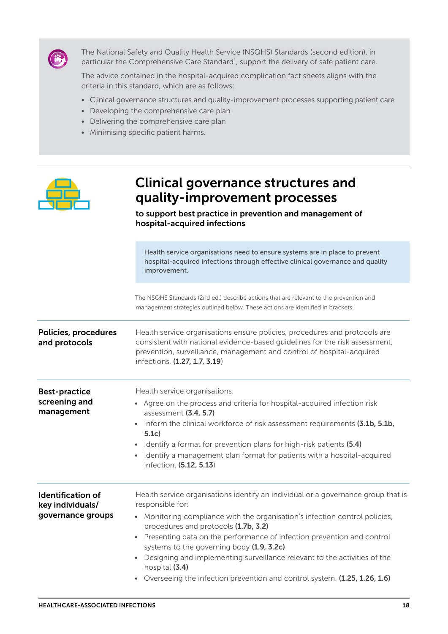

The National Safety and Quality Health Service (NSQHS) Standards (second edition), in particular the Comprehensive Care Standard<sup>1</sup>, support the delivery of safe patient care.

The advice contained in the hospital-acquired complication fact sheets aligns with the criteria in this standard, which are as follows:

- Clinical governance structures and quality-improvement processes supporting patient care
- Developing the comprehensive care plan
- Delivering the comprehensive care plan
- Minimising specific patient harms.



### Clinical governance structures and quality-improvement processes

to support best practice in prevention and management of hospital-acquired infections

Health service organisations need to ensure systems are in place to prevent hospital-acquired infections through effective clinical governance and quality improvement.

The NSQHS Standards (2nd ed.) describe actions that are relevant to the prevention and management strategies outlined below. These actions are identified in brackets.

Policies, procedures and protocols Health service organisations ensure policies, procedures and protocols are consistent with national evidence-based guidelines for the risk assessment, prevention, surveillance, management and control of hospital-acquired infections. (1.27, 1.7, 3.19)

Best-practice screening and management Health service organisations: • Agree on the process and criteria for hospital-acquired infection risk assessment (3.4, 5.7) • Inform the clinical workforce of risk assessment requirements (3.1b, 5.1b, 5.1c) • Identify a format for prevention plans for high-risk patients (5.4) • Identify a management plan format for patients with a hospital-acquired infection. (5.12, 5.13) Identification of key individuals/ governance groups Health service organisations identify an individual or a governance group that is responsible for: • Monitoring compliance with the organisation's infection control policies, procedures and protocols (1.7b, 3.2) • Presenting data on the performance of infection prevention and control systems to the governing body (1.9, 3.2c)

• Designing and implementing surveillance relevant to the activities of the hospital (3.4)

• Overseeing the infection prevention and control system. (1.25, 1.26, 1.6)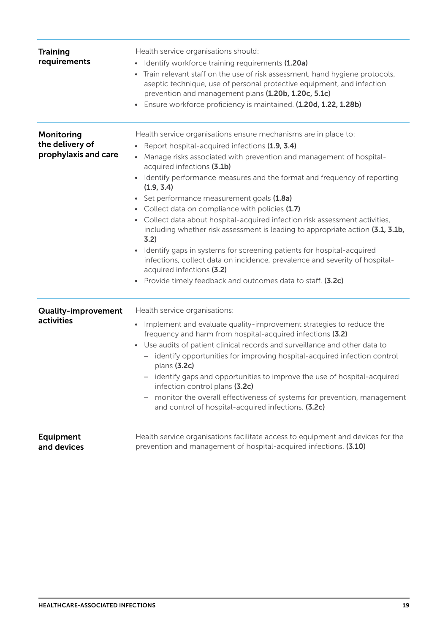| <b>Training</b><br>requirements                       | Health service organisations should:<br>Identify workforce training requirements (1.20a)<br>Train relevant staff on the use of risk assessment, hand hygiene protocols,<br>aseptic technique, use of personal protective equipment, and infection<br>prevention and management plans (1.20b, 1.20c, 5.1c)<br>Ensure workforce proficiency is maintained. (1.20d, 1.22, 1.28b)<br>$\bullet$ |
|-------------------------------------------------------|--------------------------------------------------------------------------------------------------------------------------------------------------------------------------------------------------------------------------------------------------------------------------------------------------------------------------------------------------------------------------------------------|
| Monitoring<br>the delivery of<br>prophylaxis and care | Health service organisations ensure mechanisms are in place to:<br>Report hospital-acquired infections (1.9, 3.4)                                                                                                                                                                                                                                                                          |
|                                                       | Manage risks associated with prevention and management of hospital-<br>acquired infections (3.1b)                                                                                                                                                                                                                                                                                          |
|                                                       | • Identify performance measures and the format and frequency of reporting<br>(1.9, 3.4)                                                                                                                                                                                                                                                                                                    |
|                                                       | Set performance measurement goals (1.8a)<br>$\bullet$                                                                                                                                                                                                                                                                                                                                      |
|                                                       | • Collect data on compliance with policies (1.7)                                                                                                                                                                                                                                                                                                                                           |
|                                                       | Collect data about hospital-acquired infection risk assessment activities,<br>including whether risk assessment is leading to appropriate action (3.1, 3.1b,<br>3.2)                                                                                                                                                                                                                       |
|                                                       | Identify gaps in systems for screening patients for hospital-acquired<br>$\bullet$<br>infections, collect data on incidence, prevalence and severity of hospital-<br>acquired infections (3.2)                                                                                                                                                                                             |
|                                                       | • Provide timely feedback and outcomes data to staff. (3.2c)                                                                                                                                                                                                                                                                                                                               |
| <b>Quality-improvement</b>                            | Health service organisations:                                                                                                                                                                                                                                                                                                                                                              |
| activities                                            | Implement and evaluate quality-improvement strategies to reduce the<br>$\bullet$<br>frequency and harm from hospital-acquired infections (3.2)                                                                                                                                                                                                                                             |
|                                                       | Use audits of patient clinical records and surveillance and other data to<br>$\bullet$<br>identify opportunities for improving hospital-acquired infection control<br>$\qquad \qquad -$<br>plans (3.2c)                                                                                                                                                                                    |
|                                                       | - identify gaps and opportunities to improve the use of hospital-acquired<br>infection control plans (3.2c)                                                                                                                                                                                                                                                                                |
|                                                       | monitor the overall effectiveness of systems for prevention, management<br>and control of hospital-acquired infections. (3.2c)                                                                                                                                                                                                                                                             |
| <b>Equipment</b><br>and devices                       | Health service organisations facilitate access to equipment and devices for the<br>prevention and management of hospital-acquired infections. (3.10)                                                                                                                                                                                                                                       |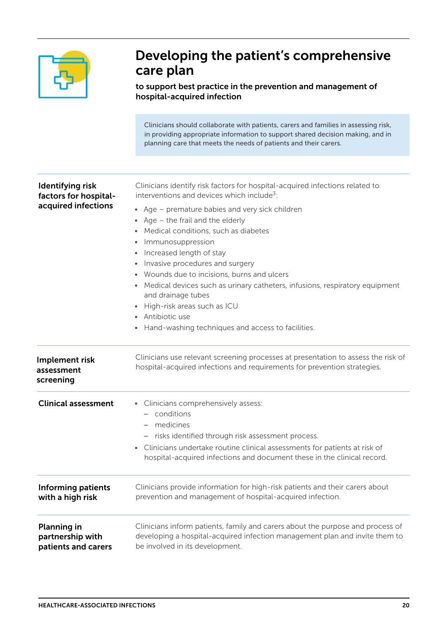

### Developing the patient's comprehensive care plan

to support best practice in the prevention and management of hospital-acquired infection

|                                                                  | Clinicians should collaborate with patients, carers and families in assessing risk,<br>in providing appropriate information to support shared decision making, and in<br>planning care that meets the needs of patients and their carers.                                                                                                                                                                                                                                                                                                                                                                                             |
|------------------------------------------------------------------|---------------------------------------------------------------------------------------------------------------------------------------------------------------------------------------------------------------------------------------------------------------------------------------------------------------------------------------------------------------------------------------------------------------------------------------------------------------------------------------------------------------------------------------------------------------------------------------------------------------------------------------|
|                                                                  |                                                                                                                                                                                                                                                                                                                                                                                                                                                                                                                                                                                                                                       |
| Identifying risk<br>factors for hospital-<br>acquired infections | Clinicians identify risk factors for hospital-acquired infections related to<br>interventions and devices which include <sup>3</sup> :<br>• Age – premature babies and very sick children<br>• Age $-$ the frail and the elderly<br>Medical conditions, such as diabetes<br>Immunosuppression<br>$\bullet$<br>• Increased length of stay<br>Invasive procedures and surgery<br>Wounds due to incisions, burns and ulcers<br>Medical devices such as urinary catheters, infusions, respiratory equipment<br>and drainage tubes<br>High-risk areas such as ICU<br>• Antibiotic use<br>Hand-washing techniques and access to facilities. |
|                                                                  |                                                                                                                                                                                                                                                                                                                                                                                                                                                                                                                                                                                                                                       |
| Implement risk<br>assessment<br>screening                        | Clinicians use relevant screening processes at presentation to assess the risk of<br>hospital-acquired infections and requirements for prevention strategies.                                                                                                                                                                                                                                                                                                                                                                                                                                                                         |
| <b>Clinical assessment</b>                                       | • Clinicians comprehensively assess:<br>conditions<br>medicines<br>risks identified through risk assessment process.<br>$\overline{\phantom{0}}$<br>Clinicians undertake routine clinical assessments for patients at risk of<br>hospital-acquired infections and document these in the clinical record.                                                                                                                                                                                                                                                                                                                              |
| <b>Informing patients</b><br>with a high risk                    | Clinicians provide information for high-risk patients and their carers about<br>prevention and management of hospital-acquired infection.                                                                                                                                                                                                                                                                                                                                                                                                                                                                                             |
| <b>Planning in</b><br>partnership with<br>patients and carers    | Clinicians inform patients, family and carers about the purpose and process of<br>developing a hospital-acquired infection management plan and invite them to<br>be involved in its development.                                                                                                                                                                                                                                                                                                                                                                                                                                      |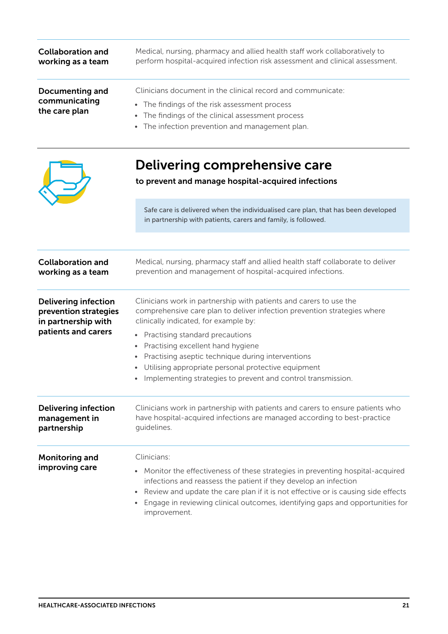| <b>Collaboration and</b><br>working as a team                                                      | Medical, nursing, pharmacy and allied health staff work collaboratively to<br>perform hospital-acquired infection risk assessment and clinical assessment.                                                                                            |
|----------------------------------------------------------------------------------------------------|-------------------------------------------------------------------------------------------------------------------------------------------------------------------------------------------------------------------------------------------------------|
| <b>Documenting and</b><br>communicating<br>the care plan                                           | Clinicians document in the clinical record and communicate:<br>The findings of the risk assessment process<br>$\bullet$<br>The findings of the clinical assessment process<br>$\bullet$<br>The infection prevention and management plan.<br>$\bullet$ |
|                                                                                                    | Delivering comprehensive care<br>to prevent and manage hospital-acquired infections                                                                                                                                                                   |
|                                                                                                    | Safe care is delivered when the individualised care plan, that has been developed<br>in partnership with patients, carers and family, is followed.                                                                                                    |
|                                                                                                    |                                                                                                                                                                                                                                                       |
| <b>Collaboration and</b><br>working as a team                                                      | Medical, nursing, pharmacy staff and allied health staff collaborate to deliver<br>prevention and management of hospital-acquired infections.                                                                                                         |
| <b>Delivering infection</b><br>prevention strategies<br>in partnership with<br>patients and carers | Clinicians work in partnership with patients and carers to use the<br>comprehensive care plan to deliver infection prevention strategies where<br>clinically indicated, for example by:                                                               |
|                                                                                                    | • Practising standard precautions<br>Practising excellent hand hygiene<br>Practising aseptic technique during interventions<br>$\bullet$                                                                                                              |

- Utilising appropriate personal protective equipment
- Implementing strategies to prevent and control transmission.

| <b>Delivering infection</b>      | Clinicians work in partnership with patients and carers to ensure patients who                                                                                                                                                                                                                                                                               |
|----------------------------------|--------------------------------------------------------------------------------------------------------------------------------------------------------------------------------------------------------------------------------------------------------------------------------------------------------------------------------------------------------------|
| management in                    | have hospital-acquired infections are managed according to best-practice                                                                                                                                                                                                                                                                                     |
| partnership                      | quidelines.                                                                                                                                                                                                                                                                                                                                                  |
| Monitoring and<br>improving care | Clinicians:<br>• Monitor the effectiveness of these strategies in preventing hospital-acquired<br>infections and reassess the patient if they develop an infection<br>• Review and update the care plan if it is not effective or is causing side effects<br>• Engage in reviewing clinical outcomes, identifying gaps and opportunities for<br>improvement. |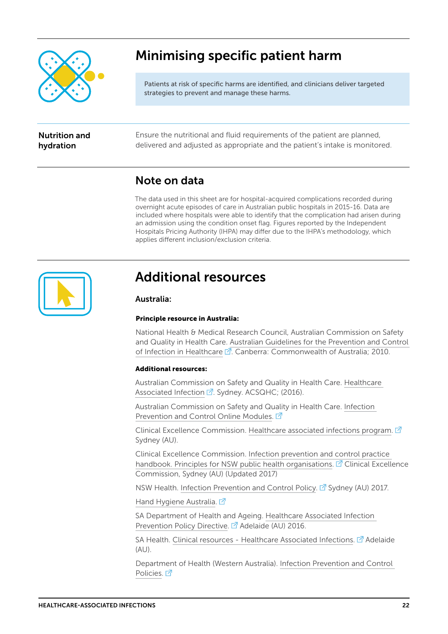

### Minimising specific patient harm

Patients at risk of specific harms are identified, and clinicians deliver targeted strategies to prevent and manage these harms.

### Nutrition and hydration

Ensure the nutritional and fluid requirements of the patient are planned, delivered and adjusted as appropriate and the patient's intake is monitored.

### Note on data

The data used in this sheet are for hospital-acquired complications recorded during overnight acute episodes of care in Australian public hospitals in 2015-16. Data are included where hospitals were able to identify that the complication had arisen during an admission using the condition onset flag. Figures reported by the Independent Hospitals Pricing Authority (IHPA) may differ due to the IHPA's methodology, which applies different inclusion/exclusion criteria.



### Additional resources

### Australia:

#### Principle resource in Australia:

National Health & Medical Research Council, Australian Commission on Safety and Quality in Health Care. [Australian Guidelines for the Prevention and Control](https://www.nhmrc.gov.au/guidelines-publications/cd33)  [of Infection in Healthcare](https://www.nhmrc.gov.au/guidelines-publications/cd33)  $\mathbb{Z}$ . Canberra: Commonwealth of Australia; 2010.

### Additional resources:

Australian Commission on Safety and Quality in Health Care. [Healthcare](https://www.safetyandquality.gov.au/our-work/healthcare-associated-infection/)  [Associated Infection](https://www.safetyandquality.gov.au/our-work/healthcare-associated-infection/)  $\vec{A}$ . Sydney. ACSQHC; (2016).

Australian Commission on Safety and Quality in Health Care. [Infection](https://www.safetyandquality.gov.au/our-work/healthcare-associated-infection/building-clinician-capacity/infection-prevention-and-control-online-modules/)  [Prevention and Control Online Modules](https://www.safetyandquality.gov.au/our-work/healthcare-associated-infection/building-clinician-capacity/infection-prevention-and-control-online-modules/).  $\vec{P}$ 

Clinical Excellence Commission. [Healthcare associated infections program](http://www.cec.health.nsw.gov.au/patient-safety-programs/assurance-governance/healthcare-associated-infections).  $\mathbb{Z}$ Sydney (AU).

Clinical Excellence Commission. [Infection prevention and control practice](http://cec.health.nsw.gov.au/__data/assets/pdf_file/0010/383239/Infection-Prevention-and-Control-Practice-Handbook-V2-Updated-1-Sep-2017.pdf)  [handbook. Principles for NSW public health organisations.](http://cec.health.nsw.gov.au/__data/assets/pdf_file/0010/383239/Infection-Prevention-and-Control-Practice-Handbook-V2-Updated-1-Sep-2017.pdf)  $\mathbb{Z}^7$  Clinical Excellence Commission, Sydney (AU) (Updated 2017)

NSW Health. [Infection Prevention and Control Policy.](http://www1.health.nsw.gov.au/pds/ActivePDSDocuments/PD2017_013.pdf)  $\mathbb{Z}^7$  Sydney (AU) 2017.

[Hand Hygiene Australia](http://www.hha.org.au/). [7]

SA Department of Health and Ageing. [Healthcare Associated Infection](http://www.sahealth.sa.gov.au/wps/wcm/connect/5ff570804b9d5ceabfe3ff7c1f47d846/Directive_HAI+Prevention_10072017.pdf?MOD=AJPERES&CACHEID=5ff570804b9d5ceabfe3ff7c1f47d846)  [Prevention Policy Directive](http://www.sahealth.sa.gov.au/wps/wcm/connect/5ff570804b9d5ceabfe3ff7c1f47d846/Directive_HAI+Prevention_10072017.pdf?MOD=AJPERES&CACHEID=5ff570804b9d5ceabfe3ff7c1f47d846). <sup>7</sup> Adelaide (AU) 2016.

SA Health. [Clinical resources - Healthcare Associated Infections](http://www.sahealth.sa.gov.au/wps/wcm/connect/public+content/sa+health+internet/clinical+resources/clinical+topics/healthcare+associated+infections).  $\mathbb{Z}$  Adelaide (AU).

Department of Health (Western Australia). [Infection Prevention and Control](http://ww2.health.wa.gov.au/Articles/U_Z/WA-health-infection-prevention-and-control-policies)  [Policies.](http://ww2.health.wa.gov.au/Articles/U_Z/WA-health-infection-prevention-and-control-policies)<sub>[7]</sub>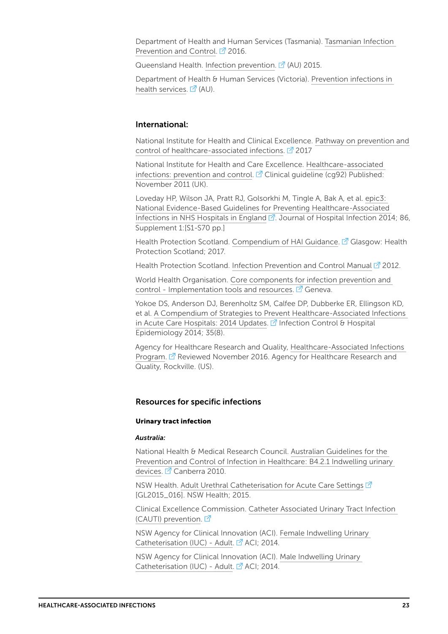Department of Health and Human Services (Tasmania). [Tasmanian Infection](http://www.dhhs.tas.gov.au/publichealth/tasmanian_infection_prevention_and_control_unit)  [Prevention and Control.](http://www.dhhs.tas.gov.au/publichealth/tasmanian_infection_prevention_and_control_unit)  $\mathbb{Z}^7$  2016.

Queensland Health. [Infection prevention](https://www.health.qld.gov.au/clinical-practice/guidelines-procedures/diseases-infection/infection-prevention).  $\vec{A}$  (AU) 2015.

Department of Health & Human Services (Victoria). [Prevention infections in](https://www2.health.vic.gov.au/hospitals-and-health-services/quality-safety-service/infection-prevention)  [health services.](https://www2.health.vic.gov.au/hospitals-and-health-services/quality-safety-service/infection-prevention)  $\vec{A}$  (AU).

#### International:

National Institute for Health and Clinical Excellence. [Pathway on prevention and](https://pathways.nice.org.uk/pathways/prevention-and-control-of-healthcare-associated-infections)  [control of healthcare-associated infections](https://pathways.nice.org.uk/pathways/prevention-and-control-of-healthcare-associated-infections).  $\mathbb{Z}^7$  2017

National Institute for Health and Care Excellence. [Healthcare-associated](https://www.nice.org.uk/guidance/cg92/resources/venous-thromboembolism-reducing-the-risk-for-patients-in-hospital-975745995973)  [infections: prevention and control](https://www.nice.org.uk/guidance/cg92/resources/venous-thromboembolism-reducing-the-risk-for-patients-in-hospital-975745995973).  $\mathbb{Z}$  Clinical guideline (cg92) Published: November 2011 (UK).

Loveday HP, Wilson JA, Pratt RJ, Golsorkhi M, Tingle A, Bak A, et al. [epic3:](http://www.sciencedirect.com/science/article/pii/S0195670113600122)  [National Evidence-Based Guidelines for Preventing Healthcare-Associated](http://www.sciencedirect.com/science/article/pii/S0195670113600122)  [Infections in NHS Hospitals in England](http://www.sciencedirect.com/science/article/pii/S0195670113600122) <sup>7</sup>. Journal of Hospital Infection 2014; 86, Supplement 1:[S1-S70 pp.]

Health Protection Scotland. [Compendium of HAI Guidance](http://www.hps.scot.nhs.uk/resourcedocument.aspx?resourceid=104). <sup>7</sup> Glasgow: Health Protection Scotland; 2017.

Health Protection Scotland. [Infection Prevention and Control Manual](http://www.nipcm.hps.scot.nhs.uk/) <sup>7</sup> 2012.

World Health Organisation. [Core components for infection prevention and](http://www.who.int/infection-prevention/tools/core-components/en/)  [control - Implementation tools and resources.](http://www.who.int/infection-prevention/tools/core-components/en/)  $\vec{A}$  Geneva.

Yokoe DS, Anderson DJ, Berenholtz SM, Calfee DP, Dubberke ER, Ellingson KD, et al. [A Compendium of Strategies to Prevent Healthcare-Associated Infections](https://www.ncbi.nlm.nih.gov/pmc/articles/PMC4223864/)  [in Acute Care Hospitals: 2014 Updates.](https://www.ncbi.nlm.nih.gov/pmc/articles/PMC4223864/)  $\vec{A}$  Infection Control & Hospital Epidemiology 2014; 35(8).

Agency for Healthcare Research and Quality, [Healthcare-Associated Infections](http://www.ahrq.gov/professionals/quality-patient-safety/hais/index.html)  [Program.](http://www.ahrq.gov/professionals/quality-patient-safety/hais/index.html)  $\mathbb{Z}$  Reviewed November 2016. Agency for Healthcare Research and Quality, Rockville. (US).

#### Resources for specific infections

#### Urinary tract infection

#### *Australia:*

National Health & Medical Research Council. [Australian Guidelines for the](https://www.nhmrc.gov.au/book/australian-guidelines-prevention-and-control-infection-healthcare-2010/b4-2-1-indwelling-urinar)  [Prevention and Control of Infection in Healthcare: B4.2.1 Indwelling urinary](https://www.nhmrc.gov.au/book/australian-guidelines-prevention-and-control-infection-healthcare-2010/b4-2-1-indwelling-urinar)  [devices](https://www.nhmrc.gov.au/book/australian-guidelines-prevention-and-control-infection-healthcare-2010/b4-2-1-indwelling-urinar).  $\mathbb{Z}$  Canberra 2010.

NSW Health. [Adult Urethral Catheterisation for Acute Care Settings](http://www1.health.nsw.gov.au/pds/pages/doc.aspx?dn=GL2015_016)  $\vec{P}$ [GL2015\_016]. NSW Health; 2015.

Clinical Excellence Commission. [Catheter Associated Urinary Tract Infection](http://www.cec.health.nsw.gov.au/patient-safety-programs/adult-patient-safety/cauti-prevention)  [\(CAUTI\) prevention.](http://www.cec.health.nsw.gov.au/patient-safety-programs/adult-patient-safety/cauti-prevention) <sup>7</sup>

NSW Agency for Clinical Innovation (ACI). [Female Indwelling Urinary](https://www.aci.health.nsw.gov.au/__data/assets/pdf_file/0019/256132/ACI_Female_IUCv2.pdf)  [Catheterisation \(IUC\) - Adult](https://www.aci.health.nsw.gov.au/__data/assets/pdf_file/0019/256132/ACI_Female_IUCv2.pdf).  $\vec{A}$  ACI; 2014.

NSW Agency for Clinical Innovation (ACI). [Male Indwelling Urinary](https://www.aci.health.nsw.gov.au/__data/assets/pdf_file/0020/256133/ACI_Male_IUCv3.pdf)  [Catheterisation \(IUC\) - Adult](https://www.aci.health.nsw.gov.au/__data/assets/pdf_file/0020/256133/ACI_Male_IUCv3.pdf). <sup>7</sup> ACI: 2014.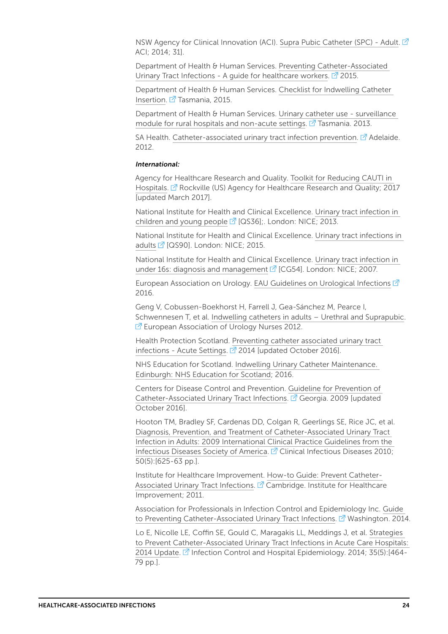NSW Agency for Clinical Innovation (ACI). [Supra Pubic Catheter \(SPC\) - Adult.](https://www.aci.health.nsw.gov.au/__data/assets/pdf_file/0018/256131/ACI_SPCv2.pdf) ACI; 2014; 31].

Department of Health & Human Services. [Preventing Catheter-Associated](http://www.dhhs.tas.gov.au/__data/assets/pdf_file/0005/56399/Preventing_catheter_associated_urinary_tract_infections.pdf)  [Urinary Tract Infections - A guide for healthcare workers.](http://www.dhhs.tas.gov.au/__data/assets/pdf_file/0005/56399/Preventing_catheter_associated_urinary_tract_infections.pdf)  $2$  2015.

Department of Health & Human Services. [Checklist for Indwelling Catheter](http://www.dhhs.tas.gov.au/__data/assets/word_doc/0009/83934/CAUTI-Checklist_for_insertion.docx)  [Insertion](http://www.dhhs.tas.gov.au/__data/assets/word_doc/0009/83934/CAUTI-Checklist_for_insertion.docx).  $\overline{C}$  Tasmania, 2015.

Department of Health & Human Services. [Urinary catheter use - surveillance](http://www.dhhs.tas.gov.au/__data/assets/pdf_file/0004/139459/ICA_surveillance_-_urinary_catheter_use.pdf)  [module for rural hospitals and non-acute settings](http://www.dhhs.tas.gov.au/__data/assets/pdf_file/0004/139459/ICA_surveillance_-_urinary_catheter_use.pdf).  $\vec{A}$  Tasmania. 2013.

SA Health. [Catheter-associated urinary tract infection prevention](http://www.sahealth.sa.gov.au/wps/wcm/connect/public+content/sa+health+internet/clinical+resources/clinical+topics/healthcare+associated+infections/indwelling+medical+device+management/preventing+catheter-associated+urinary+tract+infection).  $\mathbb{Z}^7$  Adelaide. 2012.

#### *International:*

Agency for Healthcare Research and Quality. [Toolkit for Reducing CAUTI in](https://www.ahrq.gov/professionals/quality-patient-safety/hais/tools/cauti-hospitals/index.html)  [Hospitals.](https://www.ahrq.gov/professionals/quality-patient-safety/hais/tools/cauti-hospitals/index.html) **P** Rockville (US) Agency for Healthcare Research and Quality: 2017 [updated March 2017].

National Institute for Health and Clinical Excellence. [Urinary tract infection in](https://www.nice.org.uk/guidance/qs36)  [children and young people](https://www.nice.org.uk/guidance/qs36)  $\mathbb{Z}^r$  [QS36];. London: NICE; 2013.

National Institute for Health and Clinical Excellence. [Urinary tract infections in](https://www.nice.org.uk/guidance/qs90)  [adults](https://www.nice.org.uk/guidance/qs90)  $\vec{Q}$  [QS90]. London: NICE; 2015.

National Institute for Health and Clinical Excellence. [Urinary tract infection in](https://www.nice.org.uk/guidance/cg54)  [under 16s: diagnosis and management](https://www.nice.org.uk/guidance/cg54)  $2^7$  [CG54]. London: NICE; 2007.

European Association on Urology. [EAU Guidelines on Urological Infections](https://uroweb.org/wp-content/uploads/EAU-Guidelines-Urological-Infections-2016-1.pdf) <sup>7</sup> 2016.

Geng V, Cobussen-Boekhorst H, Farrell J, Gea-Sánchez M, Pearce I, Schwennesen T, et al. [Indwelling catheters in adults – Urethral and Suprapubic](http://nurses.uroweb.org/guideline/catheterisation-indwelling-catheters-in-adults-urethral-and-suprapubic/Catheterisation).  $E$ <sup>T</sup> European Association of Urology Nurses 2012.

Health Protection Scotland. [Preventing catheter associated urinary tract](http://www.hps.scot.nhs.uk/haiic/ic/resourcedetail.aspx?id=653)  [infections - Acute Settings.](http://www.hps.scot.nhs.uk/haiic/ic/resourcedetail.aspx?id=653)  $\mathbb{Z}$  2014 [updated October 2016].

NHS Education for Scotland. [Indwelling Urinary Catheter Maintenance.](http://www.nes.scot.nhs.uk/education-and-training/by-theme-initiative/healthcare-associated-infections/training-resources/indwelling-urinary-catheter-maintenance.aspx)  [Edinburgh: NHS Education for Scotland](http://www.nes.scot.nhs.uk/education-and-training/by-theme-initiative/healthcare-associated-infections/training-resources/indwelling-urinary-catheter-maintenance.aspx); 2016.

Centers for Disease Control and Prevention. [Guideline for Prevention of](https://www.cdc.gov/infectioncontrol/guidelines/CAUTI/index.html)  [Catheter-Associated Urinary Tract Infections](https://www.cdc.gov/infectioncontrol/guidelines/CAUTI/index.html). <sup>7</sup> Georgia. 2009 [updated October 2016].

Hooton TM, Bradley SF, Cardenas DD, Colgan R, Geerlings SE, Rice JC, et al. [Diagnosis, Prevention, and Treatment of Catheter-Associated Urinary Tract](http://dx.doi.org/10.1086/650482)  [Infection in Adults: 2009 International Clinical Practice Guidelines from the](http://dx.doi.org/10.1086/650482)  [Infectious Diseases Society of America](http://dx.doi.org/10.1086/650482). <sup>7</sup> Clinical Infectious Diseases 2010; 50(5):[625-63 pp.].

Institute for Healthcare Improvement. [How-to Guide: Prevent Catheter-](http://www.ihi.org/resources/Pages/Tools/HowtoGuidePreventCatheterAssociatedUrinaryTractInfection.aspx)[Associated Urinary Tract Infections](http://www.ihi.org/resources/Pages/Tools/HowtoGuidePreventCatheterAssociatedUrinaryTractInfection.aspx).  $\mathbb{Z}^7$  Cambridge. Institute for Healthcare Improvement; 2011.

Association for Professionals in Infection Control and Epidemiology Inc. [Guide](http://apic.org/Resource_/EliminationGuideForm/0ff6ae59-0a3a-4640-97b5-eee38b8bed5b/File/CAUTI_06.pdf)  [to Preventing Catheter-Associated Urinary Tract Infections](http://apic.org/Resource_/EliminationGuideForm/0ff6ae59-0a3a-4640-97b5-eee38b8bed5b/File/CAUTI_06.pdf).  $\mathbb{Z}^r$  Washington. 2014.

Lo E, Nicolle LE, Coffin SE, Gould C, Maragakis LL, Meddings J, et al. [Strategies](http://www.jstor.org/stable/10.1086/675718)  [to Prevent Catheter-Associated Urinary Tract Infections in Acute Care Hospitals:](http://www.jstor.org/stable/10.1086/675718)  [2014 Update](http://www.jstor.org/stable/10.1086/675718). <sup>7</sup> Infection Control and Hospital Epidemiology. 2014; 35(5):[464-79 pp.].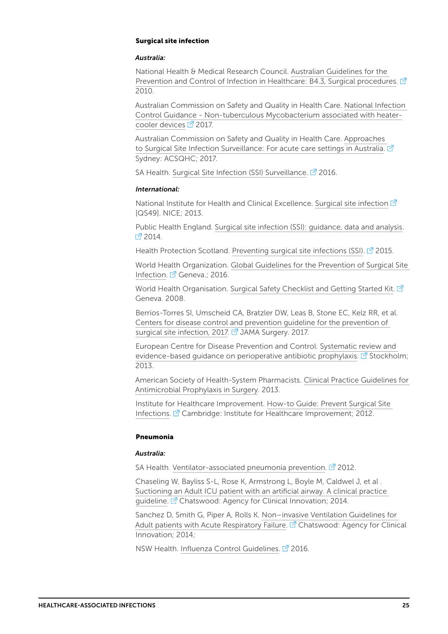#### Surgical site infection

#### *Australia:*

National Health & Medical Research Council. [Australian Guidelines for the](https://www.nhmrc.gov.au/book/australian-guidelines-prevention-and-control-infection-healthcare-2010/b4-3-surgical-procedures)  [Prevention and Control of Infection in Healthcare: B4.3, Surgical procedures.](https://www.nhmrc.gov.au/book/australian-guidelines-prevention-and-control-infection-healthcare-2010/b4-3-surgical-procedures)  $\vec{P}$ 2010.

Australian Commission on Safety and Quality in Health Care. [National Infection](https://www.safetyandquality.gov.au/wp-content/uploads/2016/09/National-Infection-Control-guidance-for-NTM-associated-with-heater-devices-Feb-2017.pdf)  [Control Guidance - Non-tuberculous Mycobacterium associated with heater](https://www.safetyandquality.gov.au/wp-content/uploads/2016/09/National-Infection-Control-guidance-for-NTM-associated-with-heater-devices-Feb-2017.pdf)[cooler devices](https://www.safetyandquality.gov.au/wp-content/uploads/2016/09/National-Infection-Control-guidance-for-NTM-associated-with-heater-devices-Feb-2017.pdf)  $\overline{2}$  2017.

Australian Commission on Safety and Quality in Health Care. [Approaches](https://www.safetyandquality.gov.au/publications/approaches-to-surgical-site-infection-surveillance/)  [to Surgical Site Infection Surveillance: For acute care settings in Australia.](https://www.safetyandquality.gov.au/publications/approaches-to-surgical-site-infection-surveillance/)  $\mathbb{Z}^1$ Sydney: ACSQHC; 2017.

SA Health. [Surgical Site Infection \(SSI\) Surveillance](http://www.sahealth.sa.gov.au/wps/wcm/connect/e1e50c80448142d39481965e88baaa69/SSI-surveillance-definitions_V3-cdcb-ics-20160120.pdf?MOD=AJPERES&CACHEID=e1e50c80448142d39481965e88baaa69). <sup>2</sup> 2016.

#### *International:*

National Institute for Health and Clinical Excellence. [Surgical site infection](https://www.nice.org.uk/guidance/qs49)  $\mathbb Z$ [QS49]. NICE; 2013.

Public Health England. [Surgical site infection \(SSI\): guidance, data and analysis.](https://www.gov.uk/government/collections/surgical-site-infection-ssi-guidance-data-and-analysis)  $2014$ 

Health Protection Scotland. [Preventing surgical site infections \(SSI\).](http://www.hps.scot.nhs.uk/haiic/ic/resourcedetail.aspx?id=663)  $\mathbb{Z}^7$  2015.

World Health Organization. [Global Guidelines for the Prevention of Surgical Site](http://www.who.int/gpsc/ssi-prevention-guidelines/en/)  [Infection.](http://www.who.int/gpsc/ssi-prevention-guidelines/en/) **Z** Geneva.: 2016.

World Health Organisation. [Surgical Safety Checklist and Getting Started Kit.](http://www.who.int/patientsafety/safesurgery/ss_checklist/en/)  $\vec{A}$ Geneva. 2008.

Berríos-Torres SI, Umscheid CA, Bratzler DW, Leas B, Stone EC, Kelz RR, et al. [Centers for disease control and prevention guideline for the prevention of](http://dx.doi.org/10.1001/jamasurg.2017.0904)  [surgical site infection, 2017.](http://dx.doi.org/10.1001/jamasurg.2017.0904) <sup>7</sup> JAMA Surgery. 2017.

European Centre for Disease Prevention and Control. [Systematic review and](https://ecdc.europa.eu/sites/portal/files/media/en/publications/Publications/Perioperative%20antibiotic%20prophylaxis%20-%20June%202013.pdf)  evidence-based quidance on perioperative antibiotic prophylaxis.  $\mathbb{Z}^r$  Stockholm; 2013.

American Society of Health-System Pharmacists. [Clinical Practice Guidelines for](https://www.idsociety.org/uploadedFiles/IDSA/Guidelines-Patient_Care/PDF_Library/2013%20Surgical%20Prophylaxis%20ASHP,%20IDSA,%20SHEA,%20SIS(1).pdf)  [Antimicrobial Prophylaxis in Surgery.](https://www.idsociety.org/uploadedFiles/IDSA/Guidelines-Patient_Care/PDF_Library/2013%20Surgical%20Prophylaxis%20ASHP,%20IDSA,%20SHEA,%20SIS(1).pdf) 2013.

Institute for Healthcare Improvement. [How-to Guide: Prevent Surgical Site](http://www.ihi.org/resources/Pages/Tools/HowtoGuidePreventSurgicalSiteInfection.aspx)  [Infections](http://www.ihi.org/resources/Pages/Tools/HowtoGuidePreventSurgicalSiteInfection.aspx).  $\mathbb{Z}^r$  Cambridge: Institute for Healthcare Improvement; 2012.

#### Pneumonia

#### *Australia:*

SA Health. [Ventilator-associated pneumonia prevention](http://www.sahealth.sa.gov.au/wps/wcm/connect/public+content/sa+health+internet/clinical+resources/clinical+topics/healthcare+associated+infections/indwelling+medical+device+management/ventilator-associated+pneumonia+prevention).  $\mathbb{Z}^7$  2012.

Chaseling W, Bayliss S-L, Rose K, Armstrong L, Boyle M, Caldwel J, et al . [Suctioning an Adult ICU patient with an artificial airway. A clinical practice](https://www.aci.health.nsw.gov.au/networks/intensive-care/intensive-care-manual/statewide-guidelines/suctioning-an-adult-icu-patient)  [guideline.](https://www.aci.health.nsw.gov.au/networks/intensive-care/intensive-care-manual/statewide-guidelines/suctioning-an-adult-icu-patient) <sup>2</sup> Chatswood: Agency for Clinical Innovation; 2014.

Sanchez D, Smith G, Piper A, Rolls K. [Non–invasive Ventilation Guidelines for](https://www.aci.health.nsw.gov.au/__data/assets/pdf_file/0007/239740/ACI14_Man_NIV_1-2.pdf)  [Adult patients with Acute Respiratory Failure](https://www.aci.health.nsw.gov.au/__data/assets/pdf_file/0007/239740/ACI14_Man_NIV_1-2.pdf).  $\mathbb{Z}^n$  Chatswood: Agency for Clinical Innovation; 2014;

NSW Health. [Influenza Control Guidelines](http://www.health.nsw.gov.au/Infectious/controlguideline/Pages/influenza.aspx). <sup>2</sup> 2016.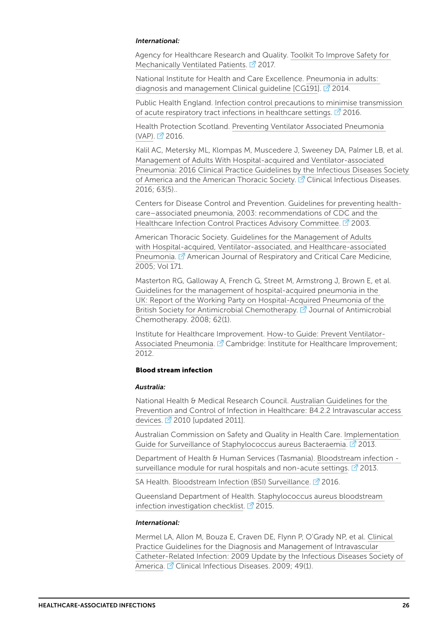#### *International:*

Agency for Healthcare Research and Quality. [Toolkit To Improve Safety for](https://www.ahrq.gov/professionals/quality-patient-safety/hais/tools/mvp/index.html)  [Mechanically Ventilated Patients.](https://www.ahrq.gov/professionals/quality-patient-safety/hais/tools/mvp/index.html)  $\mathbb{Z}$  2017.

National Institute for Health and Care Excellence. [Pneumonia in adults:](https://www.nice.org.uk/guidance/cg191)  diagnosis and management Clinical quideline [CG191].  $\mathbb{Z}^7$  2014.

Public Health England. [Infection control precautions to minimise transmission](https://www.gov.uk/government/uploads/system/uploads/attachment_data/file/585584/RTI_infection_control_guidance.pdf)  [of acute respiratory tract infections in healthcare settings.](https://www.gov.uk/government/uploads/system/uploads/attachment_data/file/585584/RTI_infection_control_guidance.pdf)  $\mathbb{Z}$  2016.

Health Protection Scotland. [Preventing Ventilator Associated Pneumonia](http://www.hps.scot.nhs.uk/haiic/ic/resourcedetail.aspx?id=987)   $(VAP)$ .  $2016$ .

Kalil AC, Metersky ML, Klompas M, Muscedere J, Sweeney DA, Palmer LB, et al. [Management of Adults With Hospital-acquired and Ventilator-associated](http://dx.doi.org/10.1093/cid/ciw353)  [Pneumonia: 2016 Clinical Practice Guidelines by the Infectious Diseases Society](http://dx.doi.org/10.1093/cid/ciw353)  [of America and the American Thoracic Society](http://dx.doi.org/10.1093/cid/ciw353).  $\mathbb{Z}$  Clinical Infectious Diseases. 2016; 63(5)..

Centers for Disease Control and Prevention. [Guidelines for preventing health](https://www.cdc.gov/mmwr/preview/mmwrhtml/rr5303a1.htm)[care–associated pneumonia, 2003: recommendations of CDC and the](https://www.cdc.gov/mmwr/preview/mmwrhtml/rr5303a1.htm)  [Healthcare Infection Control Practices Advisory Committee.](https://www.cdc.gov/mmwr/preview/mmwrhtml/rr5303a1.htm) <sup>2</sup> 2003.

American Thoracic Society. [Guidelines for the Management of Adults](http://www.atsjournals.org/doi/pdf/10.1164/rccm.200405-644ST)  [with Hospital-acquired, Ventilator-associated, and Healthcare-associated](http://www.atsjournals.org/doi/pdf/10.1164/rccm.200405-644ST)  [Pneumonia](http://www.atsjournals.org/doi/pdf/10.1164/rccm.200405-644ST). <sup>7</sup> American Journal of Respiratory and Critical Care Medicine, 2005; Vol 171.

Masterton RG, Galloway A, French G, Street M, Armstrong J, Brown E, et al. [Guidelines for the management of hospital-acquired pneumonia in the](http://dx.doi.org/10.1093/jac/dkn162)  [UK: Report of the Working Party on Hospital-Acquired Pneumonia of the](http://dx.doi.org/10.1093/jac/dkn162)  [British Society for Antimicrobial Chemotherapy.](http://dx.doi.org/10.1093/jac/dkn162) <sup>7</sup> Journal of Antimicrobial Chemotherapy. 2008; 62(1).

Institute for Healthcare Improvement. [How-to Guide: Prevent Ventilator-](http://www.ihi.org/resources/Pages/Tools/HowtoGuidePreventVAP.aspx)[Associated Pneumonia.](http://www.ihi.org/resources/Pages/Tools/HowtoGuidePreventVAP.aspx) <sup>7</sup> Cambridge: Institute for Healthcare Improvement: 2012.

#### Blood stream infection

#### *Australia:*

National Health & Medical Research Council. [Australian Guidelines for the](https://www.nhmrc.gov.au/book/australian-guidelines-prevention-and-control-infection-healthcare-2010/b4-2-2-intravascular-acc)  [Prevention and Control of Infection in Healthcare: B4.2.2 Intravascular access](https://www.nhmrc.gov.au/book/australian-guidelines-prevention-and-control-infection-healthcare-2010/b4-2-2-intravascular-acc)  [devices](https://www.nhmrc.gov.au/book/australian-guidelines-prevention-and-control-infection-healthcare-2010/b4-2-2-intravascular-acc).  $2010$  [updated 2011].

Australian Commission on Safety and Quality in Health Care. [Implementation](https://www.safetyandquality.gov.au/wp-content/uploads/2012/02/SAQ019_Implementation_guide_SAB_v10.pdf)  [Guide for Surveillance of Staphylococcus aureus Bacteraemia.](https://www.safetyandquality.gov.au/wp-content/uploads/2012/02/SAQ019_Implementation_guide_SAB_v10.pdf) <sup>2</sup> 2013.

Department of Health & Human Services (Tasmania). [Bloodstream infection](http://www.dhhs.tas.gov.au/__data/assets/pdf_file/0009/139455/ICA_Surveillance_-_Bloodstream_infection.pdf)  [surveillance module for rural hospitals and non-acute settings](http://www.dhhs.tas.gov.au/__data/assets/pdf_file/0009/139455/ICA_Surveillance_-_Bloodstream_infection.pdf).  $\mathbb{Z}$  2013.

SA Health. [Bloodstream Infection \(BSI\) Surveillance](http://www.sahealth.sa.gov.au/wps/wcm/connect/3a836a00404920b397a7b7a05d853418/BSI-surveillance-definitions_V5.1-cdcb-ics-20160201.pdf?MOD=AJPERES&CACHEID=3a836a00404920b397a7b7a05d853418). <sup>2</sup> 2016.

Queensland Department of Health. [Staphylococcus aureus bloodstream](https://www.health.qld.gov.au/__data/assets/pdf_file/0033/444669/icare-bsi-checklist.pdf)  [infection investigation checklist.](https://www.health.qld.gov.au/__data/assets/pdf_file/0033/444669/icare-bsi-checklist.pdf)  $\mathbb{Z}$  2015.

#### *International:*

Mermel LA, Allon M, Bouza E, Craven DE, Flynn P, O'Grady NP, et al. [Clinical](http://dx.doi.org/10.1086/599376)  [Practice Guidelines for the Diagnosis and Management of Intravascular](http://dx.doi.org/10.1086/599376)  [Catheter-Related Infection: 2009 Update by the Infectious Diseases Society of](http://dx.doi.org/10.1086/599376)  [America](http://dx.doi.org/10.1086/599376). <sup>7</sup> Clinical Infectious Diseases. 2009: 49(1).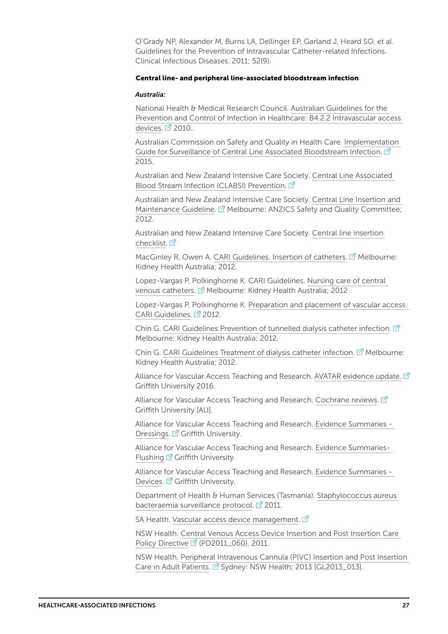O'Grady NP, Alexander M, Burns LA, Dellinger EP, Garland J, Heard SO, et al. Guidelines for the Prevention of Intravascular Catheter-related Infections. Clinical Infectious Diseases. 2011; 52(9).

#### Central line- and peripheral line-associated bloodstream infection

#### *Australia:*

National Health & Medical Research Council. [Australian Guidelines for the](https://www.nhmrc.gov.au/book/australian-guidelines-prevention-and-control-infection-healthcare-2010/b4-2-2-intravascular-acc)  [Prevention and Control of Infection in Healthcare: B4.2.2 Intravascular access](https://www.nhmrc.gov.au/book/australian-guidelines-prevention-and-control-infection-healthcare-2010/b4-2-2-intravascular-acc)  [devices](https://www.nhmrc.gov.au/book/australian-guidelines-prevention-and-control-infection-healthcare-2010/b4-2-2-intravascular-acc). 2 2010..

Australian Commission on Safety and Quality in Health Care. [Implementation](https://www.safetyandquality.gov.au/wp-content/uploads/2016/04/Implementation-Guide-for-Surveillance-of-Central-Line-Associated-Bloodstream-Infection-2016-Edition.pdf)  [Guide for Surveillance of Central Line Associated Bloodstream Infection.](https://www.safetyandquality.gov.au/wp-content/uploads/2016/04/Implementation-Guide-for-Surveillance-of-Central-Line-Associated-Bloodstream-Infection-2016-Edition.pdf) <sup>7</sup> 2015.

Australian and New Zealand Intensive Care Society. [Central Line Associated](http://www.anzics.com.au/Pages/CLABSI.aspx)  [Blood Stream Infection \(CLABSI\) Prevention.](http://www.anzics.com.au/Pages/CLABSI.aspx)

Australian and New Zealand Intensive Care Society. [Central Line Insertion and](http://www.anzics.com.au/Downloads/ANZICS_Insertion%26maintenance_guideline2012_04.pdf)  [Maintenance Guideline](http://www.anzics.com.au/Downloads/ANZICS_Insertion%26maintenance_guideline2012_04.pdf).  $\mathbb{Z}^7$  Melbourne: ANZICS Safety and Quality Committee; 2012.

Australian and New Zealand Intensive Care Society. [Central line insertion](http://www.anzics.com.au/Downloads/ANZICS%20Central%20Line%20Insertion%20Checklist.pdf)  [checklist](http://www.anzics.com.au/Downloads/ANZICS%20Central%20Line%20Insertion%20Checklist.pdf).  $\vec{\mathcal{C}}$ 

MacGinley R, Owen A. [CARI Guidelines. Insertion of catheters](http://www.cari.org.au/Dialysis/dialysis%20vascular%20access/dialysis_vascular_access.html).  $\mathbb{Z}^n$  Melbourne: Kidney Health Australia; 2012.

Lopez-Vargas P, Polkinghorne K. CARI Guidelines. [Nursing care of central](http://www.cari.org.au/Dialysis/dialysis%20vascular%20access/dialysis_vascular_access.html)  [venous catheters](http://www.cari.org.au/Dialysis/dialysis%20vascular%20access/dialysis_vascular_access.html). <sup>7</sup> Melbourne: Kidney Health Australia; 2012

Lopez-Vargas P, Polkinghorne K. [Preparation and placement of vascular access.](http://www.cari.org.au/Dialysis/dialysis%20vascular%20access/dialysis_vascular_access.html)  [CARI Guidelines.](http://www.cari.org.au/Dialysis/dialysis%20vascular%20access/dialysis_vascular_access.html) 2<sup>1</sup> 2012.

Chin G. [CARI Guidelines Prevention of tunnelled dialysis catheter infection.](http://www.cari.org.au/Dialysis/dialysis%20vascular%20access/dialysis_vascular_access.html)  $\mathbb{Z}$ Melbourne: Kidney Health Australia; 2012.

Chin G. [CARI Guidelines Treatment of dialysis catheter infection](http://www.cari.org.au/Dialysis/dialysis%20vascular%20access/dialysis_vascular_access.html).  $\vec{M}$  Melbourne: Kidney Health Australia; 2012.

Alliance for Vascular Access Teaching and Research. [AVATAR evidence update](http://www.avatargroup.org.au/evidence-update-2016.html).  $\vec{\Omega}$ Griffith University 2016.

Alliance for Vascular Access Teaching and Research. [Cochrane reviews](https://www.avatargroup.org.au/cochrane-reviews.html).  $\mathbb{Z}$ Griffith University [AU].

Alliance for Vascular Access Teaching and Research. [Evidence Summaries -](http://www.avatargroup.org.au/evidence-summaries-dressings.html)  [Dressings.](http://www.avatargroup.org.au/evidence-summaries-dressings.html) **F** Griffith University.

Alliance for Vascular Access Teaching and Research. [Evidence Summaries-](http://www.avatargroup.org.au/evidence-summaries-flushing.html)[Flushing](http://www.avatargroup.org.au/evidence-summaries-flushing.html)  $\mathbb{Z}$  Griffith University.

Alliance for Vascular Access Teaching and Research. [Evidence Summaries -](http://www.avatargroup.org.au/evidence-summaries-devices.html)  [Devices.](http://www.avatargroup.org.au/evidence-summaries-devices.html) **7** Griffith University.

Department of Health & Human Services (Tasmania). [Staphylococcus aureus](https://www.dhhs.tas.gov.au/__data/assets/pdf_file/0020/53138/SAB_Surveillance_Protocol_V3_Nov_2011.pdf)  [bacteraemia surveillance protocol](https://www.dhhs.tas.gov.au/__data/assets/pdf_file/0020/53138/SAB_Surveillance_Protocol_V3_Nov_2011.pdf).  $\overline{2}$  2011.

SA Health. [Vascular access device management.](http://www.sahealth.sa.gov.au/wps/wcm/connect/public+content/sa+health+internet/clinical+resources/clinical+topics/healthcare+associated+infections/indwelling+medical+device+management/vascular+access+device+management)  $\vec{P}$ 

NSW Health. [Central Venous Access Device Insertion and Post Insertion Care](http://www1.health.nsw.gov.au/pds/ActivePDSDocuments/PD2011_060.pdf)  [Policy Directive](http://www1.health.nsw.gov.au/pds/ActivePDSDocuments/PD2011_060.pdf) <sup>7</sup> (PD2011\_060). 2011.

NSW Health. [Peripheral Intravenous Cannula \(PIVC\) Insertion and Post Insertion](http://www1.health.nsw.gov.au/pds/ActivePDSDocuments/GL2013_013.pdf)  [Care in Adult Patients.](http://www1.health.nsw.gov.au/pds/ActivePDSDocuments/GL2013_013.pdf) <sup>7</sup> Sydney: NSW Health; 2013 [GL2013\_013].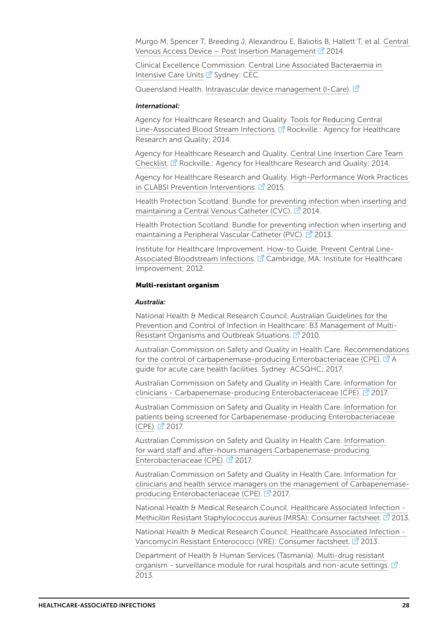Murgo M, Spencer T, Breeding J, Alexandrou E, Baliotis B, Hallett T, et al. [Central](https://www.aci.health.nsw.gov.au/networks/intensive-care/intensive-care-manual/statewide-guidelines/cvad)  [Venous Access Device – Post Insertion Management](https://www.aci.health.nsw.gov.au/networks/intensive-care/intensive-care-manual/statewide-guidelines/cvad)  $\overline{2}$  2014.

Clinical Excellence Commission. [Central Line Associated Bacteraemia in](http://www.cec.health.nsw.gov.au/topics/concluded-projects/clab-icu)  [Intensive Care Units](http://www.cec.health.nsw.gov.au/topics/concluded-projects/clab-icu)  $\mathbb{Z}^7$  Sydney: CEC.

Queensland Health. [Intravascular device management \(I-Care\).](https://www.health.qld.gov.au/clinical-practice/guidelines-procedures/diseases-infection/infection-prevention/intravascular-device-management)  $\vec{C}$ 

#### *International:*

Agency for Healthcare Research and Quality. [Tools for Reducing Central](http://www.ahrq.gov/professionals/education/curriculum-tools/clabsitools/index.html)  [Line-Associated Blood Stream Infections](http://www.ahrq.gov/professionals/education/curriculum-tools/clabsitools/index.html). <sup>7</sup> Rockville.: Agency for Healthcare Research and Quality; 2014.

Agency for Healthcare Research and Quality. [Central Line Insertion Care Team](http://www.ahrq.gov/professionals/quality-patient-safety/patient-safety-resources/resources/cli-checklist/index.html)  [Checklist.](http://www.ahrq.gov/professionals/quality-patient-safety/patient-safety-resources/resources/cli-checklist/index.html) **R** Rockville.: Agency for Healthcare Research and Quality; 2014.

Agency for Healthcare Research and Quality. [High-Performance Work Practices](http://www.ahrq.gov/professionals/quality-patient-safety/cusp/clabsi-hpwpreport/index.html)  [in CLABSI Prevention Interventions.](http://www.ahrq.gov/professionals/quality-patient-safety/cusp/clabsi-hpwpreport/index.html)  $\mathbb{Z}^7$  2015.

Health Protection Scotland. [Bundle for preventing infection when inserting and](http://www.hps.scot.nhs.uk/resourcedocument.aspx?id=2788)  [maintaining a Central Venous Catheter \(CVC\)](http://www.hps.scot.nhs.uk/resourcedocument.aspx?id=2788). <sup>7</sup> 2014.

Health Protection Scotland. [Bundle for preventing infection when inserting and](http://www.documents.hps.scot.nhs.uk/hai/infection-control/bundles/pvc/pvc-bundle-v1.pdf)  [maintaining a Peripheral Vascular Catheter \(PVC\).](http://www.documents.hps.scot.nhs.uk/hai/infection-control/bundles/pvc/pvc-bundle-v1.pdf)  $\mathbb{Z}^7$  2013.

Institute for Healthcare Improvement. [How-to Guide: Prevent Central Line-](http://www.ihi.org/resources/Pages/Tools/HowtoGuidePreventCentralLineAssociatedBloodstreamInfection.aspx)[Associated Bloodstream Infections](http://www.ihi.org/resources/Pages/Tools/HowtoGuidePreventCentralLineAssociatedBloodstreamInfection.aspx). <sup>7</sup> Cambridge, MA: Institute for Healthcare Improvement; 2012.

#### Multi-resistant organism

#### *Australia:*

National Health & Medical Research Council. [Australian Guidelines for the](https://www.nhmrc.gov.au/book/australian-guidelines-prevention-and-control-infection-healthcare-2010/b3-management-multi-resi)  [Prevention and Control of Infection in Healthcare: B3 Management of Multi-](https://www.nhmrc.gov.au/book/australian-guidelines-prevention-and-control-infection-healthcare-2010/b3-management-multi-resi)[Resistant Organisms and Outbreak Situations.](https://www.nhmrc.gov.au/book/australian-guidelines-prevention-and-control-infection-healthcare-2010/b3-management-multi-resi)  $\mathbb{Z}^7$  2010.

Australian Commission on Safety and Quality in Health Care. [Recommendations](https://www.safetyandquality.gov.au/wp-content/uploads/2017/05/Recommendations-for-the-control-of-Carbapenemase-producing-Enterobacteriaceae.pdf)  [for the control of carbapenemase-producing Enterobacteriaceae \(CPE\).](https://www.safetyandquality.gov.au/wp-content/uploads/2017/05/Recommendations-for-the-control-of-Carbapenemase-producing-Enterobacteriaceae.pdf)  $\vec{A}$  A guide for acute care health facilities. Sydney: ACSQHC; 2017.

Australian Commission on Safety and Quality in Health Care. [Information for](https://www.safetyandquality.gov.au/wp-content/uploads/2017/12/CPE-Guide-Information-for-clinicians.pdf)  [clinicians - Carbapenemase-producing Enterobacteriaceae \(CPE\)](https://www.safetyandquality.gov.au/wp-content/uploads/2017/12/CPE-Guide-Information-for-clinicians.pdf).  $\vec{P}$  2017.

Australian Commission on Safety and Quality in Health Care. [Information for](https://www.safetyandquality.gov.au/wp-content/uploads/2017/12/CPE-Guide_Patient-information.pdf)  [patients being screened for Carbapenemase-producing Enterobacteriaceae](https://www.safetyandquality.gov.au/wp-content/uploads/2017/12/CPE-Guide_Patient-information.pdf)  [\(CPE\).](https://www.safetyandquality.gov.au/wp-content/uploads/2017/12/CPE-Guide_Patient-information.pdf) 2017.

Australian Commission on Safety and Quality in Health Care. [Information](https://www.safetyandquality.gov.au/wp-content/uploads/2017/12/CPE-Guide_Checklist-for-ward-staff-and-after-hours-managers.pdf)  [for ward staff and after-hours managers Carbapenemase-producing](https://www.safetyandquality.gov.au/wp-content/uploads/2017/12/CPE-Guide_Checklist-for-ward-staff-and-after-hours-managers.pdf)  [Enterobacteriaceae \(CPE\)](https://www.safetyandquality.gov.au/wp-content/uploads/2017/12/CPE-Guide_Checklist-for-ward-staff-and-after-hours-managers.pdf). 2017.

Australian Commission on Safety and Quality in Health Care. [Information for](https://www.safetyandquality.gov.au/wp-content/uploads/2017/12/Information-for-clinicians-and-health-service-managers-on-the-management-of-CPE.pdf)  [clinicians and health service managers on the management of Carbapenemase](https://www.safetyandquality.gov.au/wp-content/uploads/2017/12/Information-for-clinicians-and-health-service-managers-on-the-management-of-CPE.pdf)[producing Enterobacteriaceae \(CPE\).](https://www.safetyandquality.gov.au/wp-content/uploads/2017/12/Information-for-clinicians-and-health-service-managers-on-the-management-of-CPE.pdf) 2017.

National Health & Medical Research Council. [Healthcare Associated Infection -](https://www.nhmrc.gov.au/_files_nhmrc/publications/attachments/cd33_mrsa_brochure_131106.pdf)  [Methicillin Resistant Staphylococcus aureus \(MRSA\): Consumer factsheet.](https://www.nhmrc.gov.au/_files_nhmrc/publications/attachments/cd33_mrsa_brochure_131106.pdf) <sup>2</sup> 2013.

National Health & Medical Research Council. [Healthcare Associated Infection -](https://www.nhmrc.gov.au/_files_nhmrc/publications/attachments/cd33_vre_brochure_131106.pdf)  [Vancomycin Resistant Enterococci \(VRE\): Consumer factsheet](https://www.nhmrc.gov.au/_files_nhmrc/publications/attachments/cd33_vre_brochure_131106.pdf). <sup>2</sup> 2013.

Department of Health & Human Services (Tasmania). [Multi-drug resistant](http://www.dhhs.tas.gov.au/__data/assets/pdf_file/0003/139458/ICA_surveillance_-_multi_drug_resistant_organisms.pdf)  [organism - surveillance module for rural hospitals and non-acute settings](http://www.dhhs.tas.gov.au/__data/assets/pdf_file/0003/139458/ICA_surveillance_-_multi_drug_resistant_organisms.pdf).  $\mathbb{Z}$ 2013.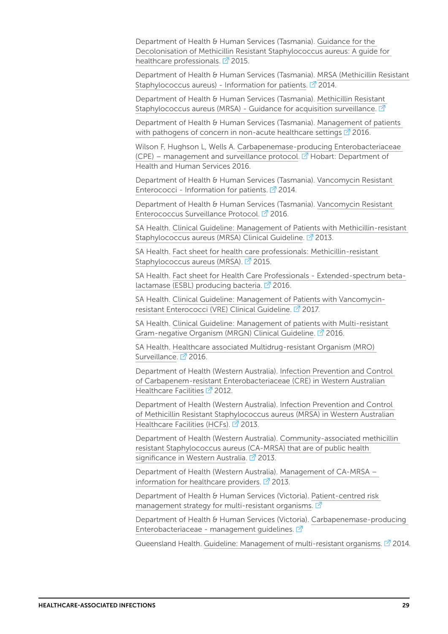Department of Health & Human Services (Tasmania). [Guidance for the](http://www.dhhs.tas.gov.au/__data/assets/pdf_file/0011/75278/MRSA_Decolonisation_-_A_Guide_for_Health_Care_Workers_V2.pdf)  [Decolonisation of Methicillin Resistant Staphylococcus aureus: A guide for](http://www.dhhs.tas.gov.au/__data/assets/pdf_file/0011/75278/MRSA_Decolonisation_-_A_Guide_for_Health_Care_Workers_V2.pdf)  [healthcare professionals.](http://www.dhhs.tas.gov.au/__data/assets/pdf_file/0011/75278/MRSA_Decolonisation_-_A_Guide_for_Health_Care_Workers_V2.pdf)  $\boxed{2}$  2015.

Department of Health & Human Services (Tasmania). [MRSA \(Methicillin Resistant](http://www.dhhs.tas.gov.au/__data/assets/pdf_file/0007/173779/MRSA_A_guide_for_patients_V3_2014.pdf)  [Staphylococcus aureus\) - Information for patients.](http://www.dhhs.tas.gov.au/__data/assets/pdf_file/0007/173779/MRSA_A_guide_for_patients_V3_2014.pdf)  $\boxed{2}$  2014.

Department of Health & Human Services (Tasmania). [Methicillin Resistant](http://www.dhhs.tas.gov.au/__data/assets/pdf_file/0016/223432/MRSA_Acquisition_Surveillance_Guideline.pdf)  [Staphylococcus aureus \(MRSA\) - Guidance for acquisition surveillance](http://www.dhhs.tas.gov.au/__data/assets/pdf_file/0016/223432/MRSA_Acquisition_Surveillance_Guideline.pdf).  $\vec{P}$ 

Department of Health & Human Services (Tasmania). [Management of patients](http://www.dhhs.tas.gov.au/publichealth/tasmanian_infection_prevention_and_control_unit/publications2/guidance_for_healthcare_workers/management_of_patients_with_pathogens_of_concern_in_non-acute_healthcare_settings)  [with pathogens of concern in non-acute healthcare settings](http://www.dhhs.tas.gov.au/publichealth/tasmanian_infection_prevention_and_control_unit/publications2/guidance_for_healthcare_workers/management_of_patients_with_pathogens_of_concern_in_non-acute_healthcare_settings)  $\mathbb{Z}^1$  2016.

Wilson F, Hughson L, Wells A. [Carbapenemase-producing Enterobacteriaceae](http://www.dhhs.tas.gov.au/__data/assets/pdf_file/0016/230344/CPE_management_And_surveillance_Protocol_V1_Jan2016.pdf)  [\(CPE\) – management and surveillance protocol](http://www.dhhs.tas.gov.au/__data/assets/pdf_file/0016/230344/CPE_management_And_surveillance_Protocol_V1_Jan2016.pdf).  $\mathbb{Z}^1$  Hobart: Department of Health and Human Services 2016.

Department of Health & Human Services (Tasmania). [Vancomycin Resistant](http://www.dhhs.tas.gov.au/__data/assets/pdf_file/0019/53182/VRE_Info_Pts_V2_2014.pdf)  [Enterococci - Information for patients.](http://www.dhhs.tas.gov.au/__data/assets/pdf_file/0019/53182/VRE_Info_Pts_V2_2014.pdf)  $\vec{P}$  2014.

Department of Health & Human Services (Tasmania). [Vancomycin Resistant](http://www.dhhs.tas.gov.au/publichealth/tasmanian_infection_prevention_and_control_unit/publications2/protocols_and_forms/staphylococcus_aureus_bacteria_surveillance_protocol)  [Enterococcus Surveillance Protocol.](http://www.dhhs.tas.gov.au/publichealth/tasmanian_infection_prevention_and_control_unit/publications2/protocols_and_forms/staphylococcus_aureus_bacteria_surveillance_protocol)  $\mathbb{Z}^7$  2016.

SA Health. [Clinical Guideline: Management of Patients with Methicillin-resistant](http://www.sahealth.sa.gov.au/wps/wcm/connect/bd32928042372b299e5bfeef0dac2aff/Management+of+Patients+with+MRSA_v2.4_24032017.pdf?MOD=AJPERES&CACHEID=bd32928042372b299e5bfeef0dac2aff.)  [Staphylococcus aureus \(MRSA\) Clinical Guideline.](http://www.sahealth.sa.gov.au/wps/wcm/connect/bd32928042372b299e5bfeef0dac2aff/Management+of+Patients+with+MRSA_v2.4_24032017.pdf?MOD=AJPERES&CACHEID=bd32928042372b299e5bfeef0dac2aff.) <sup>2</sup> 2013.

SA Health. [Fact sheet for health care professionals: Methicillin-resistant](http://www.sahealth.sa.gov.au/wps/wcm/connect/a32ebb80400569879364bb4826472d56/FactSheet-MRSA-info-hcw_V4-phcs-ics-20150625.pdf?MOD=AJPERES&CACHEID=a32ebb80400569879364bb4826472d56)  [Staphylococcus aureus \(MRSA](http://www.sahealth.sa.gov.au/wps/wcm/connect/a32ebb80400569879364bb4826472d56/FactSheet-MRSA-info-hcw_V4-phcs-ics-20150625.pdf?MOD=AJPERES&CACHEID=a32ebb80400569879364bb4826472d56)). 2015.

SA Health. [Fact sheet for Health Care Professionals - Extended-spectrum beta](http://www.sahealth.sa.gov.au/wps/wcm/connect/421021004310f80c8c5ace0aafe4bbfc/FactSheet-ESBL-info-hcw_V1.3-phcs-ics-20160217.pdf?MOD=AJPERES&CACHEID=421021004310f80c8c5ace0aafe4bbfc)[lactamase \(ESBL\) producing bacteria](http://www.sahealth.sa.gov.au/wps/wcm/connect/421021004310f80c8c5ace0aafe4bbfc/FactSheet-ESBL-info-hcw_V1.3-phcs-ics-20160217.pdf?MOD=AJPERES&CACHEID=421021004310f80c8c5ace0aafe4bbfc).  $\vec{Z}$  2016.

SA Health. [Clinical Guideline: Management of Patients with Vancomycin](http://www.sahealth.sa.gov.au/wps/wcm/connect/e7b306004023a72496fcbfd30eb2c8cd/Management+of+Patients+with+VRE_July2015.pdf?MOD=AJPERES&CACHEID=e7b306004023a72496fcbfd30eb2c8cd)[resistant Enterococci \(VRE\) Clinical Guideline](http://www.sahealth.sa.gov.au/wps/wcm/connect/e7b306004023a72496fcbfd30eb2c8cd/Management+of+Patients+with+VRE_July2015.pdf?MOD=AJPERES&CACHEID=e7b306004023a72496fcbfd30eb2c8cd). <sup>2</sup> 2017.

SA Health. [Clinical Guideline: Management of patients with Multi-resistant](http://www.sahealth.sa.gov.au/wps/wcm/connect/708ee2004d51df0784f3ff4c56539eed/Management+of+Patients+with+MRGN_30062016.pdf?MOD=AJPERES&CACHEID=708ee2004d51df0784f3ff4c56539eed)  [Gram-negative Organism \(MRGN\) Clinical Guideline.](http://www.sahealth.sa.gov.au/wps/wcm/connect/708ee2004d51df0784f3ff4c56539eed/Management+of+Patients+with+MRGN_30062016.pdf?MOD=AJPERES&CACHEID=708ee2004d51df0784f3ff4c56539eed) <sup>2</sup> 2016.

SA Health. [Healthcare associated Multidrug-resistant Organism \(MRO\)](http://www.sahealth.sa.gov.au/wps/wcm/connect/9ecc5500404923639852bfa05d853418/MRO-surveillance-definitions_V5.1-cdcb-ics-20160211.pdf?MOD=AJPERES&CACHEID=9ecc5500404923639852bfa05d853418)  [Surveillance.](http://www.sahealth.sa.gov.au/wps/wcm/connect/9ecc5500404923639852bfa05d853418/MRO-surveillance-definitions_V5.1-cdcb-ics-20160211.pdf?MOD=AJPERES&CACHEID=9ecc5500404923639852bfa05d853418)  $2016$ .

Department of Health (Western Australia). [Infection Prevention and Control](http://www.health.wa.gov.au/CircularsNew/circular.cfm?Circ_ID=12908)  [of Carbapenem-resistant Enterobacteriaceae \(CRE\) in Western Australian](http://www.health.wa.gov.au/CircularsNew/circular.cfm?Circ_ID=12908)  [Healthcare Facilities](http://www.health.wa.gov.au/CircularsNew/circular.cfm?Circ_ID=12908)  $\vec{2}$  2012.

Department of Health (Western Australia). [Infection Prevention and Control](http://www.health.wa.gov.au/circularsnew/circular.cfm?Circ_ID=13040)  [of Methicillin Resistant Staphylococcus aureus \(MRSA\) in Western Australian](http://www.health.wa.gov.au/circularsnew/circular.cfm?Circ_ID=13040)  [Healthcare Facilities \(HCFs\).](http://www.health.wa.gov.au/circularsnew/circular.cfm?Circ_ID=13040) 2013.

Department of Health (Western Australia). [Community-associated methicillin](http://www.health.wa.gov.au/circularsnew/circular.cfm?Circ_ID=13012)  [resistant Staphylococcus aureus \(CA-MRSA\) that are of public health](http://www.health.wa.gov.au/circularsnew/circular.cfm?Circ_ID=13012)  [significance in Western Australia.](http://www.health.wa.gov.au/circularsnew/circular.cfm?Circ_ID=13012) <sup>7</sup> 2013.

Department of Health (Western Australia). [Management of CA-MRSA –](http://ww2.health.wa.gov.au/~/media/Files/Corporate/general%20documents/Infectious%20diseases/PDF/HISWA/CAMRSA%20info%20sheets/camrsa_management_for_doctors_oct2013.ashx)  [information for healthcare providers](http://ww2.health.wa.gov.au/~/media/Files/Corporate/general%20documents/Infectious%20diseases/PDF/HISWA/CAMRSA%20info%20sheets/camrsa_management_for_doctors_oct2013.ashx).  $\vec{P}$  2013.

Department of Health & Human Services (Victoria). [Patient-centred risk](https://www2.health.vic.gov.au/public-health/infectious-diseases/infection-control-guidelines/patient-centered-management-multi-resistant)  [management strategy for multi-resistant organisms](https://www2.health.vic.gov.au/public-health/infectious-diseases/infection-control-guidelines/patient-centered-management-multi-resistant).  $\mathbb{Z}$ 

Department of Health & Human Services (Victoria). [Carbapenemase-producing](https://www2.health.vic.gov.au/public-health/infectious-diseases/infection-control-guidelines/carbapenemase-producing-enterobacteriaceae-management)  Enterobacteriaceae - management quidelines.  $\vec{P}$ 

Queensland Health. [Guideline: Management of multi-resistant organisms.](https://www.health.qld.gov.au/clinical-practice/guidelines-procedures/diseases-infection/infection-prevention/management-advice/trigger?a=167340) <sup>7</sup>2014.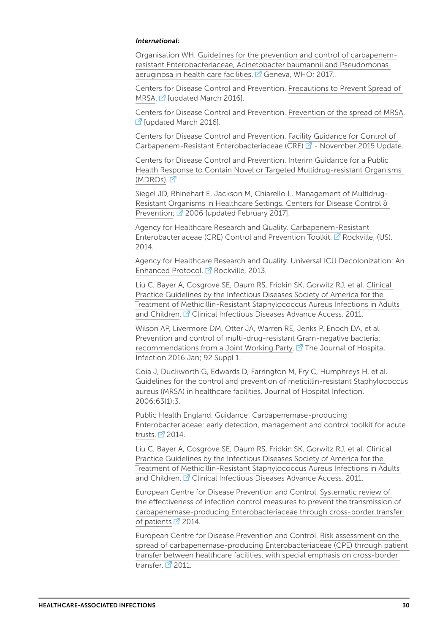#### *International:*

Organisation WH. [Guidelines for the prevention and control of carbapenem](http://www.who.int/infection-prevention/publications/guidelines-cre/en/)[resistant Enterobacteriaceae, Acinetobacter baumannii and Pseudomonas](http://www.who.int/infection-prevention/publications/guidelines-cre/en/)  [aeruginosa in health care facilities](http://www.who.int/infection-prevention/publications/guidelines-cre/en/).  $\mathbb{Z}$  Geneva, WHO; 2017..

Centers for Disease Control and Prevention. [Precautions to Prevent Spread of](https://www.cdc.gov/mrsa/healthcare/clinicians/precautions.html)  [MRSA](https://www.cdc.gov/mrsa/healthcare/clinicians/precautions.html).  $\vec{a}$  [updated March 2016].

Centers for Disease Control and Prevention. [Prevention of the spread of MRSA](https://www.cdc.gov/mrsa/healthcare/clinicians/prevention/index.html). [7] Jupdated March 2016].

Centers for Disease Control and Prevention. [Facility Guidance for Control of](https://www.cdc.gov/hai/pdfs/cre/CRE-guidance-508.pdf)  [Carbapenem-Resistant Enterobacteriaceae \(CRE\)](https://www.cdc.gov/hai/pdfs/cre/CRE-guidance-508.pdf) <sup>7</sup> - November 2015 Update.

Centers for Disease Control and Prevention. [Interim Guidance for a Public](https://www.cdc.gov/hai/outbreaks/docs/Health-Response-Contain-MDRO.pdf)  [Health Response to Contain Novel or Targeted Multidrug-resistant Organisms](https://www.cdc.gov/hai/outbreaks/docs/Health-Response-Contain-MDRO.pdf)  [\(MDROs\).](https://www.cdc.gov/hai/outbreaks/docs/Health-Response-Contain-MDRO.pdf) Z

Siegel JD, Rhinehart E, Jackson M, Chiarello L. [Management of Multidrug-](https://www.cdc.gov/infectioncontrol/guidelines/mdro/)[Resistant Organisms in Healthcare Settings. Centers for Disease Control &](https://www.cdc.gov/infectioncontrol/guidelines/mdro/)  [Prevention](https://www.cdc.gov/infectioncontrol/guidelines/mdro/);  $\boxed{2}$  2006 [updated February 2017].

Agency for Healthcare Research and Quality. [Carbapenem-Resistant](http://www.ahrq.gov/professionals/quality-patient-safety/patient-safety-resources/resources/cretoolkit/index.html)  [Enterobacteriaceae \(CRE\) Control and Prevention Toolkit.](http://www.ahrq.gov/professionals/quality-patient-safety/patient-safety-resources/resources/cretoolkit/index.html)  $\vec{P}$  Rockville, (US). 2014.

Agency for Healthcare Research and Quality. Universal ICU [Decolonization: An](https://www.ahrq.gov/professionals/systems/hospital/universal_icu_decolonization/universal-icu-rationale.html)  [Enhanced Protocol.](https://www.ahrq.gov/professionals/systems/hospital/universal_icu_decolonization/universal-icu-rationale.html) <sup>7</sup> Rockville, 2013.

Liu C, Bayer A, Cosgrove SE, Daum RS, Fridkin SK, Gorwitz RJ, et al. [Clinical](http://www.idsociety.org/uploadedFiles/IDSA/Guidelines-Patient_Care/PDF_Library/MRSA.pdf)  [Practice Guidelines by the Infectious Diseases Society of America for the](http://www.idsociety.org/uploadedFiles/IDSA/Guidelines-Patient_Care/PDF_Library/MRSA.pdf)  [Treatment of Methicillin-Resistant Staphylococcus Aureus Infections in Adults](http://www.idsociety.org/uploadedFiles/IDSA/Guidelines-Patient_Care/PDF_Library/MRSA.pdf)  [and Children.](http://www.idsociety.org/uploadedFiles/IDSA/Guidelines-Patient_Care/PDF_Library/MRSA.pdf) <sup>7</sup> Clinical Infectious Diseases Advance Access. 2011.

Wilson AP, Livermore DM, Otter JA, Warren RE, Jenks P, Enoch DA, et al. [Prevention and control of multi-drug-resistant Gram-negative bacteria:](https://www.ncbi.nlm.nih.gov/pubmed/26598314)  [recommendations from a Joint Working Party.](https://www.ncbi.nlm.nih.gov/pubmed/26598314)  $\mathbb{Z}^r$  The Journal of Hospital Infection 2016 Jan; 92 Suppl 1.

Coia J, Duckworth G, Edwards D, Farrington M, Fry C, Humphreys H, et al. Guidelines for the control and prevention of meticillin-resistant Staphylococcus aureus (MRSA) in healthcare facilities. Journal of Hospital Infection. 2006;63(1):3.

Public Health England. [Guidance: Carbapenemase-producing](https://www.gov.uk/government/publications/carbapenemase-producing-enterobacteriaceae-early-detection-management-and-control-toolkit-for-acute-trusts)  [Enterobacteriaceae: early detection, management and control toolkit for acute](https://www.gov.uk/government/publications/carbapenemase-producing-enterobacteriaceae-early-detection-management-and-control-toolkit-for-acute-trusts)  [trusts](https://www.gov.uk/government/publications/carbapenemase-producing-enterobacteriaceae-early-detection-management-and-control-toolkit-for-acute-trusts).  $2014$ .

Liu C, Bayer A, Cosgrove SE, Daum RS, Fridkin SK, Gorwitz RJ, et al. Clinical [Practice Guidelines by the Infectious Diseases Society of America for the](http://www.idsociety.org/uploadedFiles/IDSA/Guidelines-Patient_Care/PDF_Library/MRSA.pdf)  [Treatment of Methicillin-Resistant Staphylococcus Aureus Infections in Adults](http://www.idsociety.org/uploadedFiles/IDSA/Guidelines-Patient_Care/PDF_Library/MRSA.pdf)  [and Children.](http://www.idsociety.org/uploadedFiles/IDSA/Guidelines-Patient_Care/PDF_Library/MRSA.pdf) <sup>7</sup> Clinical Infectious Diseases Advance Access. 2011.

European Centre for Disease Prevention and Control. [Systematic review of](https://ecdc.europa.eu/sites/portal/files/media/en/publications/Publications/CPE-systematic-review-effectiveness-infection-control-measures-to-prevent-transmission-2014.pdf)  [the effectiveness of infection control measures to prevent the transmission of](https://ecdc.europa.eu/sites/portal/files/media/en/publications/Publications/CPE-systematic-review-effectiveness-infection-control-measures-to-prevent-transmission-2014.pdf)  [carbapenemase-producing Enterobacteriaceae through cross-border transfer](https://ecdc.europa.eu/sites/portal/files/media/en/publications/Publications/CPE-systematic-review-effectiveness-infection-control-measures-to-prevent-transmission-2014.pdf)  [of patients](https://ecdc.europa.eu/sites/portal/files/media/en/publications/Publications/CPE-systematic-review-effectiveness-infection-control-measures-to-prevent-transmission-2014.pdf)  $\overline{2}$  2014.

European Centre for Disease Prevention and Control. [Risk assessment on the](https://ecdc.europa.eu/sites/portal/files/media/en/publications/Publications/110913_Risk_assessment_resistant_CPE.pdf)  [spread of carbapenemase-producing Enterobacteriaceae \(CPE\) through patient](https://ecdc.europa.eu/sites/portal/files/media/en/publications/Publications/110913_Risk_assessment_resistant_CPE.pdf)  [transfer between healthcare facilities, with special emphasis on cross-border](https://ecdc.europa.eu/sites/portal/files/media/en/publications/Publications/110913_Risk_assessment_resistant_CPE.pdf)  [transfer.](https://ecdc.europa.eu/sites/portal/files/media/en/publications/Publications/110913_Risk_assessment_resistant_CPE.pdf)  $\overline{2}$  2011.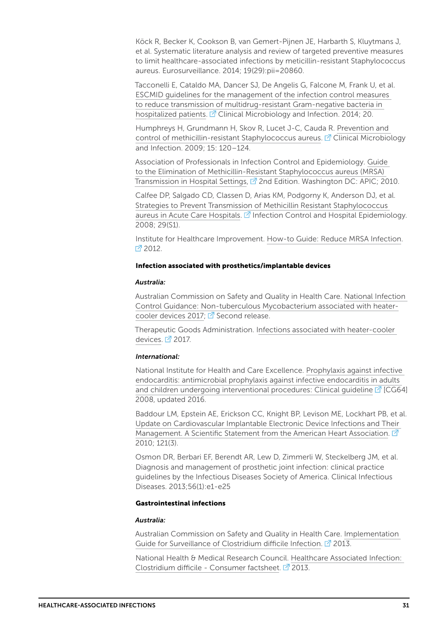Köck R, Becker K, Cookson B, van Gemert-Pijnen JE, Harbarth S, Kluytmans J, et al. Systematic literature analysis and review of targeted preventive measures to limit healthcare-associated infections by meticillin-resistant Staphylococcus aureus. Eurosurveillance. 2014; 19(29):pii=20860.

Tacconelli E, Cataldo MA, Dancer SJ, De Angelis G, Falcone M, Frank U, et al. [ESCMID guidelines for the management of the infection control measures](http://dx.doi.org/10.1111/1469-0691.12427)  [to reduce transmission of multidrug-resistant Gram-negative bacteria in](http://dx.doi.org/10.1111/1469-0691.12427)  [hospitalized patients.](http://dx.doi.org/10.1111/1469-0691.12427)  $\mathbb{Z}$  Clinical Microbiology and Infection. 2014; 20.

Humphreys H, Grundmann H, Skov R, Lucet J-C, Cauda R. [Prevention and](https://www.escmid.org/fileadmin/src/media/PDFs/4ESCMID_Library/2Medical_Guidelines/other_guidelines/CMI_2009_15_2_120_Humphreys.pdf)  [control of methicillin-resistant Staphylococcus aureus.](https://www.escmid.org/fileadmin/src/media/PDFs/4ESCMID_Library/2Medical_Guidelines/other_guidelines/CMI_2009_15_2_120_Humphreys.pdf)  $\mathbb{Z}$  Clinical Microbiology and Infection. 2009; 15: 120–124.

Association of Professionals in Infection Control and Epidemiology. [Guide](http://apic.org/Resource_/EliminationGuideForm/631fcd91-8773-4067-9f85-ab2a5b157eab/File/MRSA-elimination-guide-2010.pdf)  [to the Elimination of Methicillin-Resistant Staphylococcus aureus \(MRSA\)](http://apic.org/Resource_/EliminationGuideForm/631fcd91-8773-4067-9f85-ab2a5b157eab/File/MRSA-elimination-guide-2010.pdf)  [Transmission in Hospital Settings,](http://apic.org/Resource_/EliminationGuideForm/631fcd91-8773-4067-9f85-ab2a5b157eab/File/MRSA-elimination-guide-2010.pdf)  $\mathbb{Z}^7$  2nd Edition. Washington DC: APIC; 2010.

Calfee DP, Salgado CD, Classen D, Arias KM, Podgorny K, Anderson DJ, et al. [Strategies to Prevent Transmission of Methicillin Resistant Staphylococcus](http://www.jstor.org/stable/10.1086/591061)  [aureus in Acute Care Hospitals](http://www.jstor.org/stable/10.1086/591061).  $\mathbb Z$  Infection Control and Hospital Epidemiology. 2008; 29(S1).

Institute for Healthcare Improvement. [How-to Guide: Reduce MRSA Infection](http://www.ihi.org/resources/Pages/Tools/HowtoGuideReduceMRSAInfection.aspx). ■ 2012.

#### Infection associated with prosthetics/implantable devices

#### *Australia:*

Australian Commission on Safety and Quality in Health Care. [National Infection](https://www.safetyandquality.gov.au/wp-content/uploads/2016/09/National-Infection-Control-guidance-for-NTM-associated-with-heater-devices-Feb-2017.pdf)  [Control Guidance: Non-tuberculous Mycobacterium associated with heater](https://www.safetyandquality.gov.au/wp-content/uploads/2016/09/National-Infection-Control-guidance-for-NTM-associated-with-heater-devices-Feb-2017.pdf)[cooler devices 2017;](https://www.safetyandquality.gov.au/wp-content/uploads/2016/09/National-Infection-Control-guidance-for-NTM-associated-with-heater-devices-Feb-2017.pdf)  $\overline{S}$  Second release.

Therapeutic Goods Administration. [Infections associated with heater-cooler](https://www.tga.gov.au/alert/infections-associated-heater-cooler-devices)  [devices](https://www.tga.gov.au/alert/infections-associated-heater-cooler-devices).  $2017$ .

#### *International:*

National Institute for Health and Care Excellence. [Prophylaxis against infective](https://www.nice.org.uk/guidance/cg64)  [endocarditis: antimicrobial prophylaxis against infective endocarditis in adults](https://www.nice.org.uk/guidance/cg64)  [and children undergoing interventional procedures: Clinical guideline](https://www.nice.org.uk/guidance/cg64)  $\mathbb{Z}$  [CG64] 2008, updated 2016.

Baddour LM, Epstein AE, Erickson CC, Knight BP, Levison ME, Lockhart PB, et al. [Update on Cardiovascular Implantable Electronic Device Infections and Their](http://circ.ahajournals.org/content/121/3/458.full)  [Management. A Scientific Statement from the American Heart Association.](http://circ.ahajournals.org/content/121/3/458.full)  $\vec{\mathbb{Z}}$ 2010; 121(3).

Osmon DR, Berbari EF, Berendt AR, Lew D, Zimmerli W, Steckelberg JM, et al. Diagnosis and management of prosthetic joint infection: clinical practice guidelines by the Infectious Diseases Society of America. Clinical Infectious Diseases. 2013;56(1):e1-e25

#### Gastrointestinal infections

#### *Australia:*

Australian Commission on Safety and Quality in Health Care. [Implementation](https://www.safetyandquality.gov.au/wp-content/uploads/2012/02/1303-CDI-Implementation_Guide-_V10.pdf)  [Guide for Surveillance of Clostridium difficile Infection](https://www.safetyandquality.gov.au/wp-content/uploads/2012/02/1303-CDI-Implementation_Guide-_V10.pdf). <sup>2</sup> 2013.

National Health & Medical Research Council. [Healthcare Associated Infection:](https://www.nhmrc.gov.au/_files_nhmrc/publications/attachments/cd33_cdiff_brochure_131106.pdf)  [Clostridium difficile - Consumer factsheet](https://www.nhmrc.gov.au/_files_nhmrc/publications/attachments/cd33_cdiff_brochure_131106.pdf).  $\vec{Z}$  2013.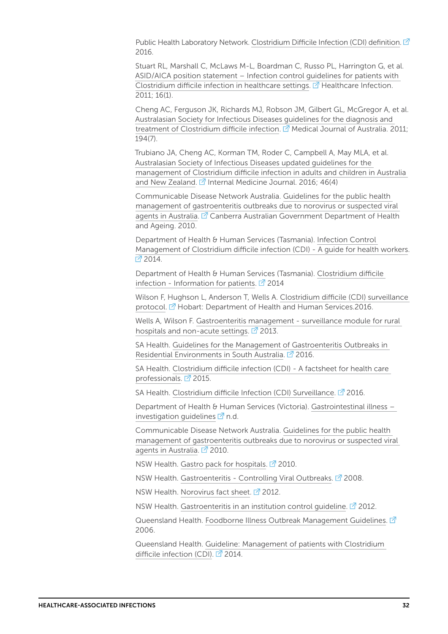Public Health Laboratory Network. [Clostridium Difficile Infection \(CDI\) definition](http://www.health.gov.au/internet/main/publishing.nsf/Content/cda-phlncd-clostridium-difficile-infection-(CDI).htm). C 2016.

Stuart RL, Marshall C, McLaws M-L, Boardman C, Russo PL, Harrington G, et al. [ASID/AICA position statement – Infection control guidelines for patients with](http://www.publish.csiro.au/paper/HI11011)  [Clostridium difficile infection in healthcare settings.](http://www.publish.csiro.au/paper/HI11011)  $\mathbb{Z}$  Healthcare Infection. 2011; 16(1).

Cheng AC, Ferguson JK, Richards MJ, Robson JM, Gilbert GL, McGregor A, et al. [Australasian Society for Infectious Diseases guidelines for the diagnosis and](https://www.asid.net.au/documents/item/146)  [treatment of Clostridium difficile infection](https://www.asid.net.au/documents/item/146).  $\vec{M}$  Medical Journal of Australia. 2011; 194(7).

Trubiano JA, Cheng AC, Korman TM, Roder C, Campbell A, May MLA, et al. [Australasian Society of Infectious Diseases updated guidelines for the](http://dx.doi.org/10.1111/imj.13027)  [management of Clostridium difficile infection in adults and children in Australia](http://dx.doi.org/10.1111/imj.13027)  [and New Zealand.](http://dx.doi.org/10.1111/imj.13027)  $\vec{A}$  Internal Medicine Journal. 2016; 46(4)

Communicable Disease Network Australia. [Guidelines for the public health](http://www.health.gov.au/internet/main/publishing.nsf/Content/cda-cdna-norovirus.htm/$File/norovirus-guidelines.pdf)  [management of gastroenteritis outbreaks due to norovirus or suspected viral](http://www.health.gov.au/internet/main/publishing.nsf/Content/cda-cdna-norovirus.htm/$File/norovirus-guidelines.pdf)  [agents in Australia.](http://www.health.gov.au/internet/main/publishing.nsf/Content/cda-cdna-norovirus.htm/$File/norovirus-guidelines.pdf) <sup>2</sup> Canberra Australian Government Department of Health and Ageing. 2010.

Department of Health & Human Services (Tasmania). [Infection Control](http://www.dhhs.tas.gov.au/__data/assets/pdf_file/0020/173810/Infection_Control_Management_of_CDI_-_A_Guide_for_Health_Care_Workers_V2_2014.pdf)  [Management of Clostridium difficile infection \(CDI\) - A guide for health workers](http://www.dhhs.tas.gov.au/__data/assets/pdf_file/0020/173810/Infection_Control_Management_of_CDI_-_A_Guide_for_Health_Care_Workers_V2_2014.pdf).  $2014.$ 

Department of Health & Human Services (Tasmania). [Clostridium difficile](http://www.dhhs.tas.gov.au/__data/assets/pdf_file/0018/53181/CDI_Info_Pts_V2_2014.pdf)  [infection - Information for patients.](http://www.dhhs.tas.gov.au/__data/assets/pdf_file/0018/53181/CDI_Info_Pts_V2_2014.pdf)  $\vec{P}$  2014

Wilson F, Hughson L, Anderson T, Wells A. [Clostridium difficile \(CDI\) surveillance](http://www.dhhs.tas.gov.au/publichealth/tasmanian_infection_prevention_and_control_unit/publications2/protocols_and_forms/clostridium_difficile_infection_surveillance_protocol_2016)  [protocol.](http://www.dhhs.tas.gov.au/publichealth/tasmanian_infection_prevention_and_control_unit/publications2/protocols_and_forms/clostridium_difficile_infection_surveillance_protocol_2016) <sup>7</sup> Hobart: Department of Health and Human Services. 2016.

Wells A, Wilson F. [Gastroenteritis management - surveillance module for rural](http://www.dhhs.tas.gov.au/__data/assets/pdf_file/0010/139456/ICA_surveillance_-_gastroenteritis_management.pdf)  [hospitals and non-acute settings](http://www.dhhs.tas.gov.au/__data/assets/pdf_file/0010/139456/ICA_surveillance_-_gastroenteritis_management.pdf).  $\mathbb{Z}$  2013.

SA Health. [Guidelines for the Management of Gastroenteritis Outbreaks in](http://www.sahealth.sa.gov.au/wps/wcm/connect/7dbceb80436716e69dd1dfc9302c1003/Gastro-guidelines-residential-environments_V2.0-cdcb-ics-20160401.pdf?MOD=AJPERES&CACHEID=7dbceb80436716e69dd1dfc9302c1003)  [Residential Environments in South Australia.](http://www.sahealth.sa.gov.au/wps/wcm/connect/7dbceb80436716e69dd1dfc9302c1003/Gastro-guidelines-residential-environments_V2.0-cdcb-ics-20160401.pdf?MOD=AJPERES&CACHEID=7dbceb80436716e69dd1dfc9302c1003)  $\mathbb{Z}^1$  2016.

SA Health. [Clostridium difficile infection \(CDI\) - A factsheet for health care](http://www.sahealth.sa.gov.au/wps/wcm/connect/98dbf08041ea793ba38cbbd65487caab/FactSheet-Cdiff-hcw_V3.2-phcs-ics-20150106.pdf?MOD=AJPERES&CACHEID=98dbf08041ea793ba38cbbd65487caab)  [professionals](http://www.sahealth.sa.gov.au/wps/wcm/connect/98dbf08041ea793ba38cbbd65487caab/FactSheet-Cdiff-hcw_V3.2-phcs-ics-20150106.pdf?MOD=AJPERES&CACHEID=98dbf08041ea793ba38cbbd65487caab).  $2015$ .

SA Health. [Clostridium difficile Infection \(CDI\)](http://www.sahealth.sa.gov.au/wps/wcm/connect/c222c300404921f097e4b7a05d853418/CDI-surveillance-definitions_V5.0-cdcb-ics-20160120.pdf?MOD=AJPERES&CACHEID=c222c300404921f097e4b7a05d853418) Surveillance.  $\mathbb{Z}^7$  2016.

Department of Health & Human Services (Victoria). [Gastrointestinal illness –](https://www2.health.vic.gov.au/public-health/infectious-diseases/infection-control-guidelines/gastrointestinal-illness-investigation-guidelines)  investigation quidelines  $\mathbb{Z}$  n.d.

Communicable Disease Network Australia. [Guidelines for the public health](http://www.health.gov.au/internet/main/publishing.nsf/Content/cda-cdna-norovirus.htm)  [management of gastroenteritis outbreaks due to norovirus or suspected viral](http://www.health.gov.au/internet/main/publishing.nsf/Content/cda-cdna-norovirus.htm)  [agents in Australia.](http://www.health.gov.au/internet/main/publishing.nsf/Content/cda-cdna-norovirus.htm)  $2010$ .

NSW Health. [Gastro pack for hospitals](http://www.health.nsw.gov.au/Infectious/gastroenteritis/Documents/hospital-gastro-pack.pdf).  $2^{n}$  2010.

NSW Health. [Gastroenteritis - Controlling Viral Outbreaks.](http://www.health.nsw.gov.au/Infectious/factsheets/Pages/gastroenteritis-outbreaks.aspx) <sup>2</sup> 2008.

NSW Health. [Norovirus fact sheet](http://www.health.nsw.gov.au/Infectious/factsheets/Pages/norovirus.aspx).  $\mathbb{Z}^7$  2012.

NSW Health. [Gastroenteritis in an institution control guideline.](http://www.health.nsw.gov.au/Infectious/controlguideline/Pages/gastro.aspx)  $\mathbb{Z}$  2012.

Queensland Health. [Foodborne Illness Outbreak Management Guidelines.](https://www.health.qld.gov.au/__data/assets/pdf_file/0030/444927/outbreak-management-guidelines.pdf) <sup>7</sup> 2006.

Queensland Health. [Guideline: Management of patients with Clostridium](https://www.health.qld.gov.au/__data/assets/pdf_file/0028/147583/qh-gdl-408.pdf)  [difficile infection \(CDI\).](https://www.health.qld.gov.au/__data/assets/pdf_file/0028/147583/qh-gdl-408.pdf)  $\vec{Z}$  2014.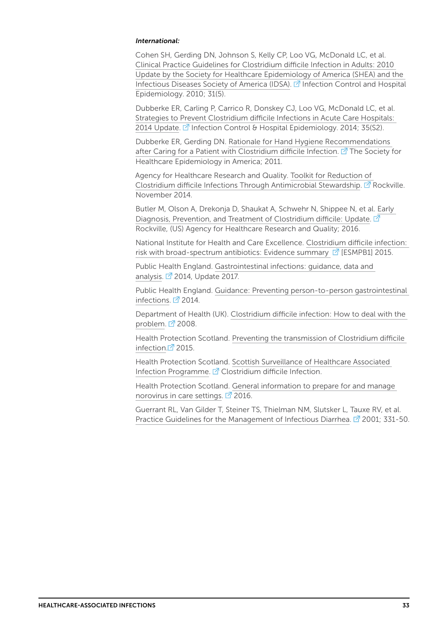#### *International:*

Cohen SH, Gerding DN, Johnson S, Kelly CP, Loo VG, McDonald LC, et al. [Clinical Practice Guidelines for Clostridium difficile Infection in Adults: 2010](http://www.jstor.org/stable/10.1086/651706)  [Update by the Society for Healthcare Epidemiology of America \(SHEA\) and the](http://www.jstor.org/stable/10.1086/651706)  [Infectious Diseases Society of America \(IDSA\)](http://www.jstor.org/stable/10.1086/651706).  $\mathbb{Z}$  Infection Control and Hospital Epidemiology. 2010; 31(5).

Dubberke ER, Carling P, Carrico R, Donskey CJ, Loo VG, McDonald LC, et al. [Strategies to Prevent Clostridium difficile Infections in Acute Care Hospitals:](http://www.jstor.org/stable/pdf/10.1086/676023.pdf?refreqid=excelsior%3A5b53b0a51f3abd50ca63e7409379278f)  [2014 Update](http://www.jstor.org/stable/pdf/10.1086/676023.pdf?refreqid=excelsior%3A5b53b0a51f3abd50ca63e7409379278f). <sup>7</sup> Infection Control & Hospital Epidemiology. 2014; 35(S2).

Dubberke ER, Gerding DN. [Rationale for Hand Hygiene Recommendations](https://www.shea-online.org/images/patients/CDI-hand-hygiene-Update.pdf)  [after Caring for a Patient with Clostridium difficile Infection](https://www.shea-online.org/images/patients/CDI-hand-hygiene-Update.pdf).  $\mathbb Z$  The Society for Healthcare Epidemiology in America; 2011.

Agency for Healthcare Research and Quality. [Toolkit for Reduction of](http://www.ahrq.gov/professionals/quality-patient-safety/patient-safety-resources/resources/cdifftoolkit/index.html)  [Clostridium difficile Infections Through Antimicrobial Stewardship.](http://www.ahrq.gov/professionals/quality-patient-safety/patient-safety-resources/resources/cdifftoolkit/index.html) <sup>7</sup> Rockville. November 2014.

Butler M, Olson A, Drekonja D, Shaukat A, Schwehr N, Shippee N, et al. [Early](https://www.ncbi.nlm.nih.gov/books/NBK361173/pdf/Bookshelf_NBK361173.pdf)  [Diagnosis, Prevention, and Treatment of Clostridium difficile: Update](https://www.ncbi.nlm.nih.gov/books/NBK361173/pdf/Bookshelf_NBK361173.pdf).  $\Box$ Rockville, (US) Agency for Healthcare Research and Quality; 2016.

National Institute for Health and Care Excellence. [Clostridium difficile infection:](https://www.nice.org.uk/advice/esmpb1/chapter/Key-points-from-the-evidence)  [risk with broad-spectrum antibiotics: Evidence summary](https://www.nice.org.uk/advice/esmpb1/chapter/Key-points-from-the-evidence)  $\mathbb{Z}^7$  [ESMPB1] 2015.

Public Health England. [Gastrointestinal infections: guidance, data and](https://www.gov.uk/government/collections/gastrointestinal-infections-guidance-data-and-analysis)  [analysis](https://www.gov.uk/government/collections/gastrointestinal-infections-guidance-data-and-analysis).  $\boxed{7}$  2014, Update 2017.

Public Health England. [Guidance: Preventing person-to-person gastrointestinal](https://www.gov.uk/government/publications/preventing-person-to-person-gastrointestinal-infections)  [infections](https://www.gov.uk/government/publications/preventing-person-to-person-gastrointestinal-infections).  $\mathbb{Z}$  2014.

Department of Health (UK). [Clostridium difficile infection: How to deal with the](https://www.his.org.uk/files/6213/7088/0745/1_Clostridium_difficile_infection_how_to_deal_with_the_problem_HPA.DH_guidance_Jan_2009.pdf)  [problem](https://www.his.org.uk/files/6213/7088/0745/1_Clostridium_difficile_infection_how_to_deal_with_the_problem_HPA.DH_guidance_Jan_2009.pdf).  $\mathbb{Z}$  2008.

Health Protection Scotland. [Preventing the transmission of Clostridium difficile](http://www.hps.scot.nhs.uk/haiic/ic/resourcedetail.aspx?id=664)  [infection.](http://www.hps.scot.nhs.uk/haiic/ic/resourcedetail.aspx?id=664) $2015$ .

Health Protection Scotland. [Scottish Surveillance of Healthcare Associated](http://www.hps.scot.nhs.uk/haiic/sshaip/clostridiumdifficile.aspx?subjectid=79)  [Infection Programme.](http://www.hps.scot.nhs.uk/haiic/sshaip/clostridiumdifficile.aspx?subjectid=79)  $\mathbb{Z}^7$  Clostridium difficile Infection.

Health Protection Scotland. [General information to prepare for and manage](http://www.hps.scot.nhs.uk/haiic/ic/resourcedetail.aspx?id=165)  [norovirus in care settings](http://www.hps.scot.nhs.uk/haiic/ic/resourcedetail.aspx?id=165).  $\sqrt{2}$  2016.

Guerrant RL, Van Gilder T, Steiner TS, Thielman NM, Slutsker L, Tauxe RV, et al. [Practice Guidelines for the Management of Infectious Diarrhea.](https://academic.oup.com/cid/article-pdf/32/3/331/13132906/32-3-331.pdf)  $\vec{P}$  2001; 331-50.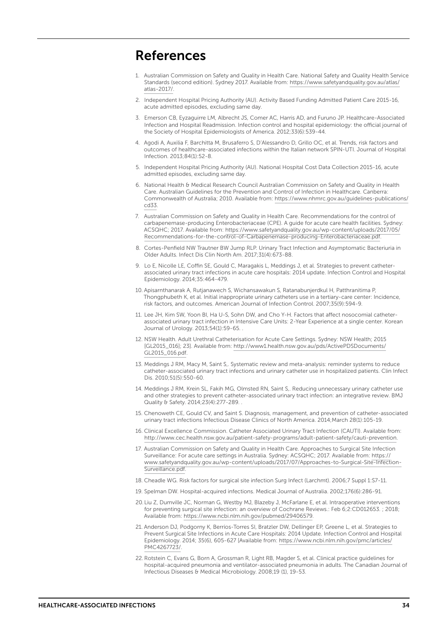### References

- <span id="page-33-0"></span>Australian Commission on Safety and Quality in Health Care. National Safety and Quality Health Service Standards (second edition). Sydney 2017. Available from: [https://www.safetyandquality.gov.au/atlas/](https://www.safetyandquality.gov.au/atlas/atlas-2017/) [atlas-2017/.](https://www.safetyandquality.gov.au/atlas/atlas-2017/)
- <span id="page-33-1"></span>2. Independent Hospital Pricing Authority (AU). Activity Based Funding Admitted Patient Care 2015-16, acute admitted episodes, excluding same day.
- <span id="page-33-2"></span>3. Emerson CB, Eyzaguirre LM, Albrecht JS, Comer AC, Harris AD, and Furuno JP. Healthcare-Associated Infection and Hospital Readmission. Infection control and hospital epidemiology: the official journal of the Society of Hospital Epidemiologists of America. 2012;33(6):539-44.
- <span id="page-33-3"></span>4. Agodi A, Auxilia F, Barchitta M, Brusaferro S, D'Alessandro D, Grillo OC, et al. Trends, risk factors and outcomes of healthcare-associated infections within the Italian network SPIN-UTI. Journal of Hospital Infection. 2013;84(1):52-8.
- <span id="page-33-4"></span>5. Independent Hospital Pricing Authority (AU). National Hospital Cost Data Collection 2015-16, acute admitted episodes, excluding same day.
- <span id="page-33-5"></span>6. National Health & Medical Research Council Australian Commission on Safety and Quality in Health Care. Australian Guidelines for the Prevention and Control of Infection in Healthcare. Canberra: Commonwealth of Australia; 2010. Available from: [https://www.nhmrc.gov.au/guidelines-publications/](https://www.nhmrc.gov.au/guidelines-publications/cd33) [cd33](https://www.nhmrc.gov.au/guidelines-publications/cd33).
- <span id="page-33-6"></span>7. Australian Commission on Safety and Quality in Health Care. Recommendations for the control of carbapenemase-producing Enterobacteriaceae (CPE). A guide for acute care health facilities. Sydney: ACSQHC; 2017. Available from: [https://www.safetyandquality.gov.au/wp-content/uploads/2017/05/](https://www.safetyandquality.gov.au/wp-content/uploads/2017/05/Recommendations-for-the-control-of-Carbapenemase-producing-Enterobacteriaceae.pdf) [Recommendations-for-the-control-of-Carbapenemase-producing-Enterobacteriaceae.pdf](https://www.safetyandquality.gov.au/wp-content/uploads/2017/05/Recommendations-for-the-control-of-Carbapenemase-producing-Enterobacteriaceae.pdf).
- <span id="page-33-7"></span>8. Cortes-Penfield NW Trautner BW Jump RLP. Urinary Tract Infection and Asymptomatic Bacteriuria in Older Adults. Infect Dis Clin North Am. 2017;31(4):673-88.
- <span id="page-33-8"></span>9. Lo E, Nicolle LE, Coffin SE, Gould C, Maragakis L, Meddings J, et al. Strategies to prevent catheterassociated urinary tract infections in acute care hospitals: 2014 update. Infection Control and Hospital Epidemiology. 2014;35:464-479.
- <span id="page-33-9"></span>10. Apisarnthanarak A, Rutjanawech S, Wichansawakun S, Ratanabunjerdkul H, Patthranitima P, Thongphubeth K, et al. Initial inappropriate urinary catheters use in a tertiary-care center: Incidence, risk factors, and outcomes. American Journal of Infection Control. 2007;35(9):594-9.
- <span id="page-33-10"></span>11. Lee JH, Kim SW, Yoon BI, Ha U-S, Sohn DW, and Cho Y-H. Factors that affect nosocomial catheterassociated urinary tract infection in Intensive Care Units: 2-Year Experience at a single center. Korean Journal of Urology. 2013;54(1):59-65. .
- <span id="page-33-11"></span>12. NSW Health. Adult Urethral Catheterisation for Acute Care Settings. Sydney: NSW Health; 2015 [GL2015\_016]; 23]. Available from: [http://www1.health.nsw.gov.au/pds/ActivePDSDocuments/](http://www1.health.nsw.gov.au/pds/ActivePDSDocuments/GL2015_016.pdf) [GL2015\\_016.pdf.](http://www1.health.nsw.gov.au/pds/ActivePDSDocuments/GL2015_016.pdf)
- <span id="page-33-12"></span>13. Meddings J RM, Macy M, Saint S,. Systematic review and meta-analysis: reminder systems to reduce catheter-associated urinary tract infections and urinary catheter use in hospitalized patients. Clin Infect Dis. 2010;51(5):550-60.
- <span id="page-33-13"></span>14. Meddings J RM, Krein SL, Fakih MG, Olmsted RN, Saint S,. Reducing unnecessary urinary catheter use and other strategies to prevent catheter-associated urinary tract infection: an integrative review. BMJ Quality & Safety. 2014;23(4):277-289. .
- <span id="page-33-14"></span>15. Chenoweth CE, Gould CV, and Saint S. Diagnosis, management, and prevention of catheter-associated urinary tract infections Infectious Disease Clinics of North America. 2014;March 28(1):105-19.
- <span id="page-33-15"></span>16. Clinical Excellence Commission. Catheter Associated Urinary Tract Infection (CAUTI). Available from: <http://www.cec.health.nsw.gov.au/patient-safety-programs/adult-patient-safety/cauti-prevention>.
- <span id="page-33-16"></span>17. Australian Commission on Safety and Quality in Health Care. Approaches to Surgical Site Infection Surveillance: For acute care settings in Australia. Sydney: ACSQHC; 2017. Available from: [https://](http://www.cec.health.nsw.gov.au/patient-safety-programs/adult-patient-safety/cauti-prevention) [www.safetyandquality.gov.au/wp-content/uploads/2017/07/Approaches-to-Surgical-Site-Infection-](http://www.cec.health.nsw.gov.au/patient-safety-programs/adult-patient-safety/cauti-prevention)[Surveillance.pdf.](http://www.cec.health.nsw.gov.au/patient-safety-programs/adult-patient-safety/cauti-prevention)
- <span id="page-33-18"></span>18. Cheadle WG. Risk factors for surgical site infection Surg Infect (Larchmt). 2006;7 Suppl 1:S7-11.
- <span id="page-33-17"></span>19. Spelman DW. Hospital-acquired infections. Medical Journal of Australia. 2002;176(6):286-91.
- <span id="page-33-19"></span>20. Liu Z, Dumville JC, Norman G, Westby MJ, Blazeby J, McFarlane E, et al. Intraoperative interventions for preventing surgical site infection: an overview of Cochrane Reviews.: Feb 6;2:CD012653. ; 2018; Available from:<https://www.ncbi.nlm.nih.gov/pubmed/29406579>.
- <span id="page-33-20"></span>21. Anderson DJ, Podgorny K, Berríos-Torres SI, Bratzler DW, Dellinger EP, Greene L, et al. Strategies to Prevent Surgical Site Infections in Acute Care Hospitals: 2014 Update. Infection Control and Hospital Epidemiology. 2014; 35(6), 605-627 [Available from: [https://www.ncbi.nlm.nih.gov/pmc/articles/](https://www.ncbi.nlm.nih.gov/pmc/articles/PMC4267723/) [PMC4267723/](https://www.ncbi.nlm.nih.gov/pmc/articles/PMC4267723/).
- <span id="page-33-21"></span>22. Rotstein C, Evans G, Born A, Grossman R, Light RB, Magder S, et al. Clinical practice guidelines for hospital-acquired pneumonia and ventilator-associated pneumonia in adults. The Canadian Journal of Infectious Diseases & Medical Microbiology. 2008;19 (1), 19-53.